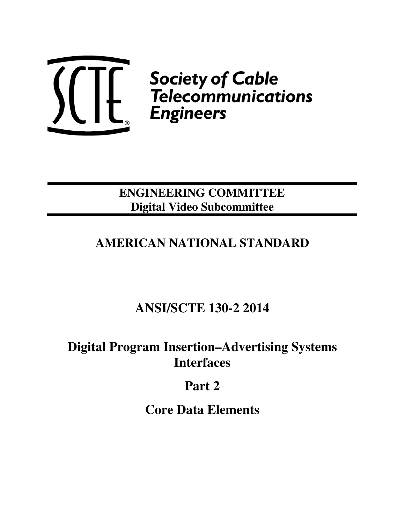

 $\left\{\left\{\begin{matrix} & \text{Society of Cable} \ & \text{Telecommunications} \ & \text{Engineering} \ & \text{Engineering} \end{matrix}\right. \right.$ 

## **ENGINEERING COMMITTEE Digital Video Subcommittee**

## **AMERICAN NATIONAL STANDARD**

# **ANSI/SCTE 130-2 2014**

## **Digital Program Insertion–Advertising Systems Interfaces**

# **Part 2**

**Core Data Elements**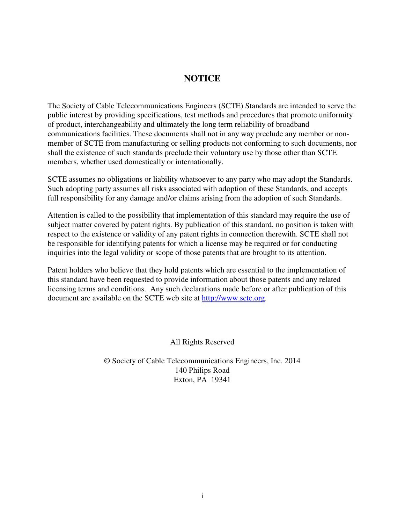## **NOTICE**

The Society of Cable Telecommunications Engineers (SCTE) Standards are intended to serve the public interest by providing specifications, test methods and procedures that promote uniformity of product, interchangeability and ultimately the long term reliability of broadband communications facilities. These documents shall not in any way preclude any member or nonmember of SCTE from manufacturing or selling products not conforming to such documents, nor shall the existence of such standards preclude their voluntary use by those other than SCTE members, whether used domestically or internationally.

SCTE assumes no obligations or liability whatsoever to any party who may adopt the Standards. Such adopting party assumes all risks associated with adoption of these Standards, and accepts full responsibility for any damage and/or claims arising from the adoption of such Standards.

Attention is called to the possibility that implementation of this standard may require the use of subject matter covered by patent rights. By publication of this standard, no position is taken with respect to the existence or validity of any patent rights in connection therewith. SCTE shall not be responsible for identifying patents for which a license may be required or for conducting inquiries into the legal validity or scope of those patents that are brought to its attention.

Patent holders who believe that they hold patents which are essential to the implementation of this standard have been requested to provide information about those patents and any related licensing terms and conditions. Any such declarations made before or after publication of this document are available on the SCTE web site at http://www.scte.org.

All Rights Reserved

© Society of Cable Telecommunications Engineers, Inc. 2014 140 Philips Road Exton, PA 19341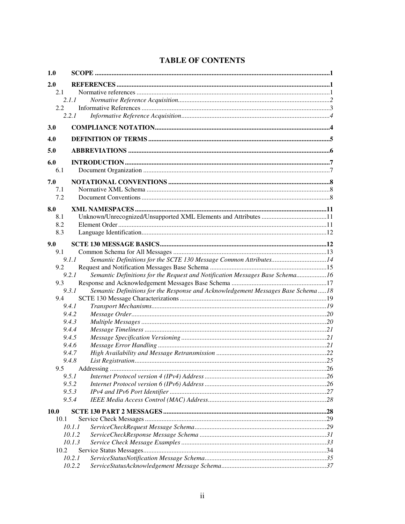|  | <b>TABLE OF CONTENTS</b> |
|--|--------------------------|
|--|--------------------------|

| 1.0         |                                                                                           |  |
|-------------|-------------------------------------------------------------------------------------------|--|
| 2.0         |                                                                                           |  |
| 2.1         |                                                                                           |  |
|             | 2.1.1                                                                                     |  |
| 2.2         |                                                                                           |  |
|             | 2.2.1                                                                                     |  |
| <b>3.0</b>  |                                                                                           |  |
| 4.0         |                                                                                           |  |
| 5.0         |                                                                                           |  |
| 6.0         |                                                                                           |  |
| 6.1         |                                                                                           |  |
| 7.0         |                                                                                           |  |
| 7.1         |                                                                                           |  |
| 7.2         |                                                                                           |  |
|             |                                                                                           |  |
| 8.0         |                                                                                           |  |
| 8.1         |                                                                                           |  |
| 8.2         |                                                                                           |  |
| 8.3         |                                                                                           |  |
| 9.0         |                                                                                           |  |
| 9.1         |                                                                                           |  |
|             | Semantic Definitions for the SCTE 130 Message Common Attributes14<br>9.1.1                |  |
| 9.2         |                                                                                           |  |
|             | Semantic Definitions for the Request and Notification Messages Base Schema16<br>9.2.1     |  |
| 9.3         |                                                                                           |  |
|             | Semantic Definitions for the Response and Acknowledgement Messages Base Schema18<br>9.3.1 |  |
| 9.4         |                                                                                           |  |
|             | 9.4.1<br>9.4.2                                                                            |  |
|             | 9.4.3                                                                                     |  |
|             | 9.4.4                                                                                     |  |
|             | 9.4.5                                                                                     |  |
|             | 9.4.6                                                                                     |  |
|             | 9.4.7                                                                                     |  |
|             | 9.4.8                                                                                     |  |
| 9.5         |                                                                                           |  |
|             | 9.5.1                                                                                     |  |
|             | 9.5.2                                                                                     |  |
|             | 9.5.3                                                                                     |  |
|             | 9.5.4                                                                                     |  |
| <b>10.0</b> |                                                                                           |  |
| 10.1        |                                                                                           |  |
|             | 10.1.1                                                                                    |  |
|             | 10.1.2                                                                                    |  |
|             | 10.1.3                                                                                    |  |
| 10.2        |                                                                                           |  |
|             | 10.2.1                                                                                    |  |
|             | 10.2.2                                                                                    |  |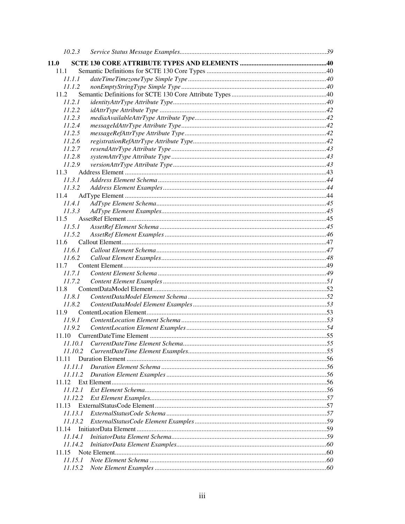| 10.2.3           |  |
|------------------|--|
| <b>11.0</b>      |  |
| 11.1             |  |
| 11.1.1           |  |
| 11.1.2           |  |
| 11.2             |  |
| 11.2.1           |  |
| 11.2.2           |  |
| 11.2.3           |  |
| 11.2.4           |  |
| 11.2.5           |  |
| 11.2.6           |  |
| 11.2.7           |  |
| 11.2.8           |  |
| 11.2.9           |  |
| 11.3             |  |
| 11.3.1           |  |
| 11.3.2           |  |
| 11.4             |  |
| 11.4.1           |  |
| 11.3.3           |  |
| 11.5             |  |
| 11.5.1           |  |
| 11.5.2           |  |
| 11.6             |  |
| 11.6.1           |  |
| 11.6.2           |  |
| 11.7             |  |
| 11.7.1           |  |
| 11.7.2           |  |
| 11.8             |  |
| 11.8.1           |  |
| 11.8.2           |  |
| 11.9             |  |
| 11.9.1           |  |
| 11.9.2           |  |
|                  |  |
|                  |  |
| 11.10.2          |  |
| 11.11            |  |
| 11.11.1          |  |
|                  |  |
| 11.12            |  |
|                  |  |
| 11.12.2          |  |
| 11.13            |  |
| 11.13.1          |  |
| 11.13.2          |  |
| 11.14            |  |
| 11.14.1          |  |
| 11.14.2<br>11.15 |  |
| 11.15.1          |  |
| 11.15.2          |  |
|                  |  |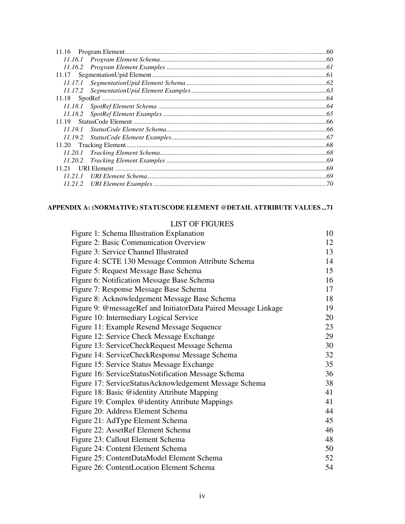| 11.16   |  |
|---------|--|
|         |  |
|         |  |
| 11.17   |  |
| 11.17.1 |  |
| 11.17.2 |  |
| 11.18   |  |
| 11.18.1 |  |
| 11.18.2 |  |
| 11 19   |  |
| 11.19.1 |  |
| 11.19.2 |  |
| 11.20   |  |
| 11.20.1 |  |
| 11.20.2 |  |
| 11.21   |  |
| 11 21 1 |  |
| 11.21.2 |  |
|         |  |

## **APPENDIX A: (NORMATIVE) STATUSCODE ELEMENT @DETAIL ATTRIBUTE VALUES ...71**

#### LIST OF FIGURES

| Figure 1: Schema Illustration Explanation                      | 10 |
|----------------------------------------------------------------|----|
| Figure 2: Basic Communication Overview                         | 12 |
| Figure 3: Service Channel Illustrated                          | 13 |
| Figure 4: SCTE 130 Message Common Attribute Schema             | 14 |
| Figure 5: Request Message Base Schema                          | 15 |
| Figure 6: Notification Message Base Schema                     | 16 |
| Figure 7: Response Message Base Schema                         | 17 |
| Figure 8: Acknowledgement Message Base Schema                  | 18 |
| Figure 9: @messageRef and InitiatorData Paired Message Linkage | 19 |
| Figure 10: Intermediary Logical Service                        | 20 |
| Figure 11: Example Resend Message Sequence                     | 23 |
| Figure 12: Service Check Message Exchange                      | 29 |
| Figure 13: ServiceCheckRequest Message Schema                  | 30 |
| Figure 14: ServiceCheckResponse Message Schema                 | 32 |
| Figure 15: Service Status Message Exchange                     | 35 |
| Figure 16: ServiceStatusNotification Message Schema            | 36 |
| Figure 17: ServiceStatusAcknowledgement Message Schema         | 38 |
| Figure 18: Basic @identity Attribute Mapping                   | 41 |
| Figure 19: Complex @identity Attribute Mappings                | 41 |
| Figure 20: Address Element Schema                              | 44 |
| Figure 21: AdType Element Schema                               | 45 |
| Figure 22: AssetRef Element Schema                             | 46 |
| Figure 23: Callout Element Schema                              | 48 |
| Figure 24: Content Element Schema                              | 50 |
| Figure 25: ContentDataModel Element Schema                     | 52 |
| Figure 26: ContentLocation Element Schema                      | 54 |
|                                                                |    |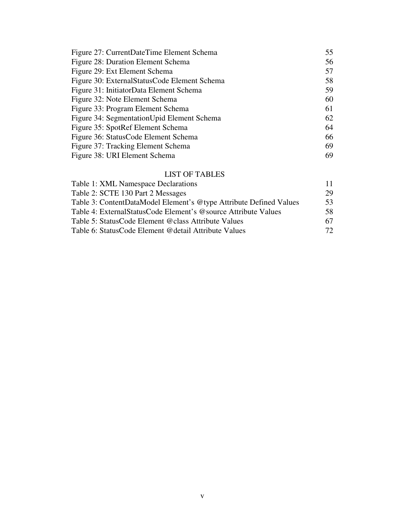| 55 |
|----|
| 56 |
| 57 |
| 58 |
| 59 |
| 60 |
| 61 |
| 62 |
| 64 |
| 66 |
| 69 |
| 69 |
|    |

## LIST OF TABLES

| Table 1: XML Namespace Declarations                                |              |
|--------------------------------------------------------------------|--------------|
| Table 2: SCTE 130 Part 2 Messages                                  | 29           |
| Table 3: ContentDataModel Element's @type Attribute Defined Values | 53           |
| Table 4: External Status Code Element's @source Attribute Values   | 58.          |
| Table 5: StatusCode Element @class Attribute Values                | 67           |
| Table 6: StatusCode Element @detail Attribute Values               | $72^{\circ}$ |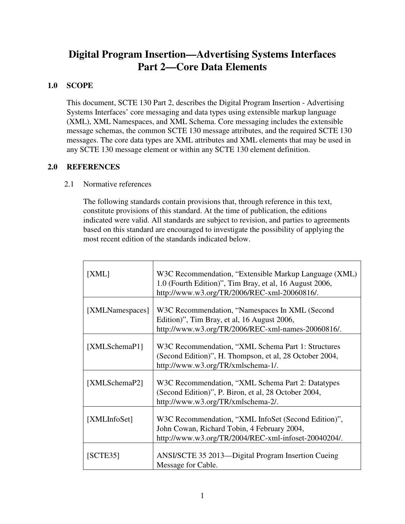## **Digital Program Insertion—Advertising Systems Interfaces Part 2—Core Data Elements**

## **1.0 SCOPE**

This document, SCTE 130 Part 2, describes the Digital Program Insertion - Advertising Systems Interfaces' core messaging and data types using extensible markup language (XML), XML Namespaces, and XML Schema. Core messaging includes the extensible message schemas, the common SCTE 130 message attributes, and the required SCTE 130 messages. The core data types are XML attributes and XML elements that may be used in any SCTE 130 message element or within any SCTE 130 element definition.

## **2.0 REFERENCES**

## 2.1 Normative references

The following standards contain provisions that, through reference in this text, constitute provisions of this standard. At the time of publication, the editions indicated were valid. All standards are subject to revision, and parties to agreements based on this standard are encouraged to investigate the possibility of applying the most recent edition of the standards indicated below.

| [XML]           | W3C Recommendation, "Extensible Markup Language (XML)<br>1.0 (Fourth Edition)", Tim Bray, et al, 16 August 2006,<br>http://www.w3.org/TR/2006/REC-xml-20060816/. |
|-----------------|------------------------------------------------------------------------------------------------------------------------------------------------------------------|
| [XMLNamespaces] | W3C Recommendation, "Namespaces In XML (Second<br>Edition)", Tim Bray, et al, 16 August 2006,<br>http://www.w3.org/TR/2006/REC-xml-names-20060816/.              |
| [XMLSchemaP1]   | W3C Recommendation, "XML Schema Part 1: Structures<br>(Second Edition)", H. Thompson, et al, 28 October 2004,<br>http://www.w3.org/TR/xmlschema-1/.              |
| [XMLSchemaP2]   | W3C Recommendation, "XML Schema Part 2: Datatypes<br>(Second Edition)", P. Biron, et al, 28 October 2004,<br>http://www.w3.org/TR/xmlschema-2/.                  |
| [XMLInfoSet]    | W3C Recommendation, "XML InfoSet (Second Edition)",<br>John Cowan, Richard Tobin, 4 February 2004,<br>http://www.w3.org/TR/2004/REC-xml-infoset-20040204/.       |
| [SCTE35]        | ANSI/SCTE 35 2013—Digital Program Insertion Cueing<br>Message for Cable.                                                                                         |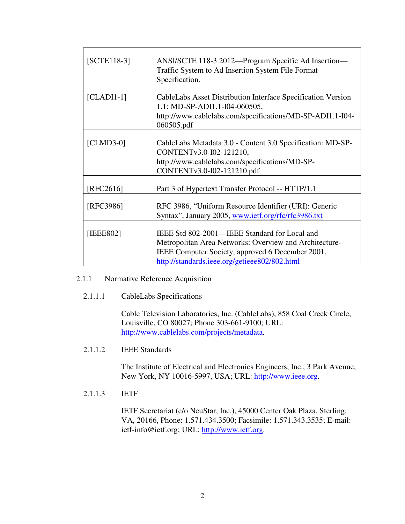| $[SCTE118-3]$ | ANSI/SCTE 118-3 2012—Program Specific Ad Insertion—<br>Traffic System to Ad Insertion System File Format<br>Specification.                                                                                   |
|---------------|--------------------------------------------------------------------------------------------------------------------------------------------------------------------------------------------------------------|
| $[CLADII-1]$  | CableLabs Asset Distribution Interface Specification Version<br>1.1: MD-SP-ADI1.1-I04-060505,<br>http://www.cablelabs.com/specifications/MD-SP-ADI1.1-I04-<br>060505.pdf                                     |
| $[CLMD3-0]$   | CableLabs Metadata 3.0 - Content 3.0 Specification: MD-SP-<br>CONTENTv3.0-I02-121210,<br>http://www.cablelabs.com/specifications/MD-SP-<br>CONTENTv3.0-I02-121210.pdf                                        |
| [RFC2616]     | Part 3 of Hypertext Transfer Protocol -- HTTP/1.1                                                                                                                                                            |
| [RFC3986]     | RFC 3986, "Uniform Resource Identifier (URI): Generic<br>Syntax", January 2005, www.ietf.org/rfc/rfc3986.txt                                                                                                 |
| [IEEE802]     | IEEE Std 802-2001—IEEE Standard for Local and<br>Metropolitan Area Networks: Overview and Architecture-<br>IEEE Computer Society, approved 6 December 2001,<br>http://standards.ieee.org/getieee802/802.html |

## 2.1.1 Normative Reference Acquisition

2.1.1.1 CableLabs Specifications

Cable Television Laboratories, Inc. (CableLabs), 858 Coal Creek Circle, Louisville, CO 80027; Phone 303-661-9100; URL: http://www.cablelabs.com/projects/metadata.

2.1.1.2 IEEE Standards

The Institute of Electrical and Electronics Engineers, Inc., 3 Park Avenue, New York, NY 10016-5997, USA; URL: http://www.ieee.org.

2.1.1.3 IETF

IETF Secretariat (c/o NeuStar, Inc.), 45000 Center Oak Plaza, Sterling, VA, 20166, Phone: 1.571.434.3500; Facsimile: 1.571.343.3535; E-mail: ietf-info@ietf.org; URL: http://www.ietf.org.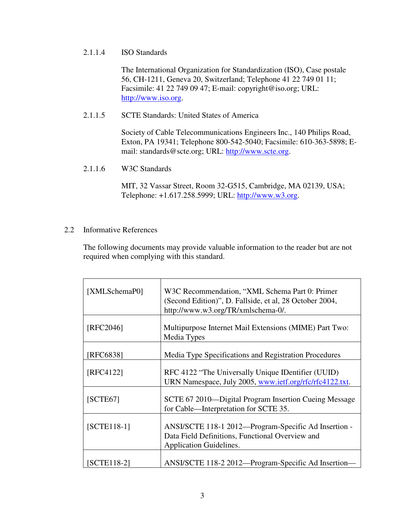## 2.1.1.4 ISO Standards

The International Organization for Standardization (ISO), Case postale 56, CH-1211, Geneva 20, Switzerland; Telephone 41 22 749 01 11; Facsimile: 41 22 749 09 47; E-mail: copyright@iso.org; URL: http://www.iso.org.

## 2.1.1.5 SCTE Standards: United States of America

Society of Cable Telecommunications Engineers Inc., 140 Philips Road, Exton, PA 19341; Telephone 800-542-5040; Facsimile: 610-363-5898; Email: standards@scte.org; URL: http://www.scte.org.

2.1.1.6 W3C Standards

MIT, 32 Vassar Street, Room 32-G515, Cambridge, MA 02139, USA; Telephone: +1.617.258.5999; URL: http://www.w3.org.

2.2 Informative References

The following documents may provide valuable information to the reader but are not required when complying with this standard.

| [XMLSchemaP0] | W3C Recommendation, "XML Schema Part 0: Primer<br>(Second Edition)", D. Fallside, et al, 28 October 2004,<br>http://www.w3.org/TR/xmlschema-0/. |
|---------------|-------------------------------------------------------------------------------------------------------------------------------------------------|
| [RFC2046]     | Multipurpose Internet Mail Extensions (MIME) Part Two:<br>Media Types                                                                           |
| [RFC6838]     | Media Type Specifications and Registration Procedures                                                                                           |
| [RFC4122]     | RFC 4122 "The Universally Unique IDentifier (UUID)<br>URN Namespace, July 2005, www.ietf.org/rfc/rfc4122.txt.                                   |
| [SCTE67]      | SCTE 67 2010—Digital Program Insertion Cueing Message<br>for Cable—Interpretation for SCTE 35.                                                  |
| $[SCTE118-1]$ | ANSI/SCTE 118-1 2012—Program-Specific Ad Insertion -<br>Data Field Definitions, Functional Overview and<br>Application Guidelines.              |
| [SCTE118-2]   | ANSI/SCTE 118-2 2012—Program-Specific Ad Insertion-                                                                                             |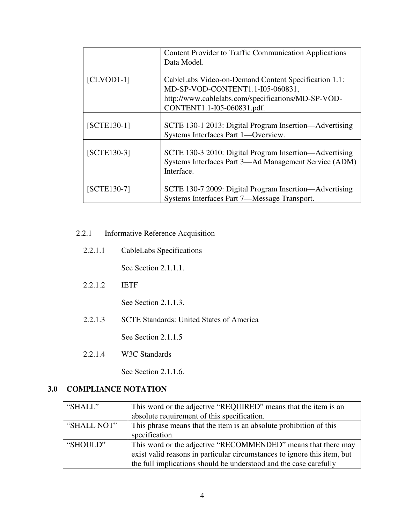|               | <b>Content Provider to Traffic Communication Applications</b>                                                                                                                |
|---------------|------------------------------------------------------------------------------------------------------------------------------------------------------------------------------|
|               | Data Model.                                                                                                                                                                  |
| $[CLVOD1-1]$  | CableLabs Video-on-Demand Content Specification 1.1:<br>MD-SP-VOD-CONTENT1.1-I05-060831,<br>http://www.cablelabs.com/specifications/MD-SP-VOD-<br>CONTENT1.1-I05-060831.pdf. |
| $[SCTE130-1]$ | SCTE 130-1 2013: Digital Program Insertion—Advertising<br>Systems Interfaces Part 1-Overview.                                                                                |
| [SCTE130-3]   | SCTE 130-3 2010: Digital Program Insertion—Advertising<br>Systems Interfaces Part 3—Ad Management Service (ADM)<br>Interface.                                                |
| $[SCTE130-7]$ | SCTE 130-7 2009: Digital Program Insertion—Advertising<br>Systems Interfaces Part 7—Message Transport.                                                                       |

## 2.2.1 Informative Reference Acquisition

2.2.1.1 CableLabs Specifications

See Section 2.1.1.1.

2.2.1.2 IETF

See Section 2.1.1.3.

2.2.1.3 SCTE Standards: United States of America

See Section 2.1.1.5

2.2.1.4 W3C Standards

See Section 2.1.1.6.

## **3.0 COMPLIANCE NOTATION**

| "SHALL"     | This word or the adjective "REQUIRED" means that the item is an          |
|-------------|--------------------------------------------------------------------------|
|             | absolute requirement of this specification.                              |
| "SHALL NOT" | This phrase means that the item is an absolute prohibition of this       |
|             | specification.                                                           |
| "SHOULD"    | This word or the adjective "RECOMMENDED" means that there may            |
|             | exist valid reasons in particular circumstances to ignore this item, but |
|             | the full implications should be understood and the case carefully        |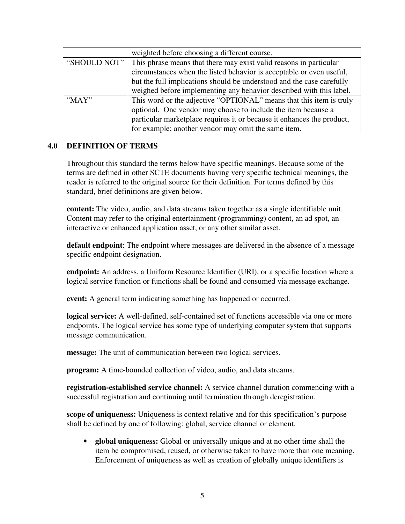|              | weighted before choosing a different course.                           |  |
|--------------|------------------------------------------------------------------------|--|
| "SHOULD NOT" | This phrase means that there may exist valid reasons in particular     |  |
|              | circumstances when the listed behavior is acceptable or even useful,   |  |
|              | but the full implications should be understood and the case carefully  |  |
|              | weighed before implementing any behavior described with this label.    |  |
| " $MAX"$     | This word or the adjective "OPTIONAL" means that this item is truly    |  |
|              | optional. One vendor may choose to include the item because a          |  |
|              | particular marketplace requires it or because it enhances the product, |  |
|              | for example; another vendor may omit the same item.                    |  |

## **4.0 DEFINITION OF TERMS**

Throughout this standard the terms below have specific meanings. Because some of the terms are defined in other SCTE documents having very specific technical meanings, the reader is referred to the original source for their definition. For terms defined by this standard, brief definitions are given below.

**content:** The video, audio, and data streams taken together as a single identifiable unit. Content may refer to the original entertainment (programming) content, an ad spot, an interactive or enhanced application asset, or any other similar asset.

**default endpoint**: The endpoint where messages are delivered in the absence of a message specific endpoint designation.

**endpoint:** An address, a Uniform Resource Identifier (URI), or a specific location where a logical service function or functions shall be found and consumed via message exchange.

**event:** A general term indicating something has happened or occurred.

**logical service:** A well-defined, self-contained set of functions accessible via one or more endpoints. The logical service has some type of underlying computer system that supports message communication.

**message:** The unit of communication between two logical services.

**program:** A time-bounded collection of video, audio, and data streams.

**registration-established service channel:** A service channel duration commencing with a successful registration and continuing until termination through deregistration.

**scope of uniqueness:** Uniqueness is context relative and for this specification's purpose shall be defined by one of following: global, service channel or element.

• **global uniqueness:** Global or universally unique and at no other time shall the item be compromised, reused, or otherwise taken to have more than one meaning. Enforcement of uniqueness as well as creation of globally unique identifiers is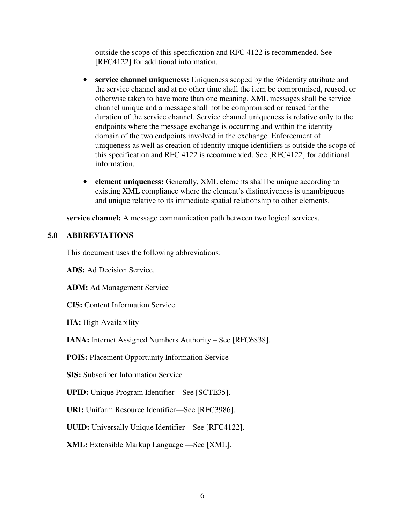outside the scope of this specification and RFC 4122 is recommended. See [RFC4122] for additional information.

- **service channel uniqueness:** Uniqueness scoped by the @identity attribute and the service channel and at no other time shall the item be compromised, reused, or otherwise taken to have more than one meaning. XML messages shall be service channel unique and a message shall not be compromised or reused for the duration of the service channel. Service channel uniqueness is relative only to the endpoints where the message exchange is occurring and within the identity domain of the two endpoints involved in the exchange. Enforcement of uniqueness as well as creation of identity unique identifiers is outside the scope of this specification and RFC 4122 is recommended. See [RFC4122] for additional information.
- **element uniqueness:** Generally, XML elements shall be unique according to existing XML compliance where the element's distinctiveness is unambiguous and unique relative to its immediate spatial relationship to other elements.

**service channel:** A message communication path between two logical services.

## **5.0 ABBREVIATIONS**

This document uses the following abbreviations:

**ADS:** Ad Decision Service.

**ADM:** Ad Management Service

**CIS:** Content Information Service

**HA:** High Availability

**IANA:** Internet Assigned Numbers Authority – See [RFC6838].

**POIS:** Placement Opportunity Information Service

**SIS:** Subscriber Information Service

**UPID:** Unique Program Identifier—See [SCTE35].

**URI:** Uniform Resource Identifier—See [RFC3986].

**UUID:** Universally Unique Identifier—See [RFC4122].

**XML:** Extensible Markup Language —See [XML].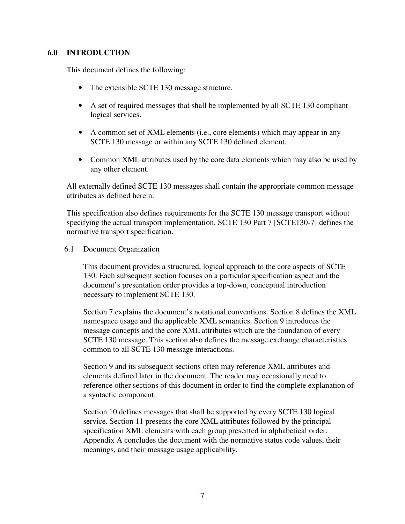## **6.0 INTRODUCTION**

This document defines the following:

- The extensible SCTE 130 message structure.
- A set of required messages that shall be implemented by all SCTE 130 compliant logical services.
- A common set of XML elements (i.e., core elements) which may appear in any SCTE 130 message or within any SCTE 130 defined element.
- Common XML attributes used by the core data elements which may also be used by any other element.

All externally defined SCTE 130 messages shall contain the appropriate common message attributes as defined herein.

This specification also defines requirements for the SCTE 130 message transport without specifying the actual transport implementation. SCTE 130 Part 7 [SCTE130-7] defines the normative transport specification.

## 6.1 Document Organization

This document provides a structured, logical approach to the core aspects of SCTE 130. Each subsequent section focuses on a particular specification aspect and the document's presentation order provides a top-down, conceptual introduction necessary to implement SCTE 130.

Section 7 explains the document's notational conventions. Section 8 defines the XML namespace usage and the applicable XML semantics. Section 9 introduces the message concepts and the core XML attributes which are the foundation of every SCTE 130 message. This section also defines the message exchange characteristics common to all SCTE 130 message interactions.

Section 9 and its subsequent sections often may reference XML attributes and elements defined later in the document. The reader may occasionally need to reference other sections of this document in order to find the complete explanation of a syntactic component.

Section 10 defines messages that shall be supported by every SCTE 130 logical service. Section 11 presents the core XML attributes followed by the principal specification XML elements with each group presented in alphabetical order. Appendix A concludes the document with the normative status code values, their meanings, and their message usage applicability.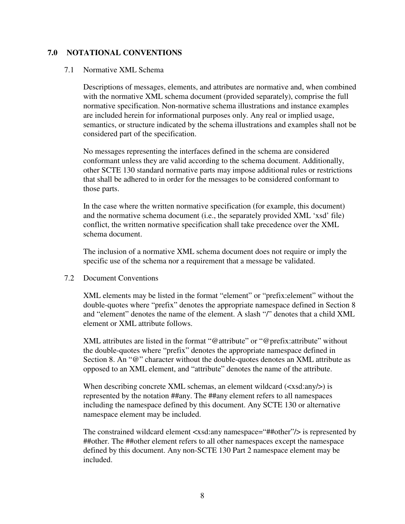## **7.0 NOTATIONAL CONVENTIONS**

#### 7.1 Normative XML Schema

Descriptions of messages, elements, and attributes are normative and, when combined with the normative XML schema document (provided separately), comprise the full normative specification. Non-normative schema illustrations and instance examples are included herein for informational purposes only. Any real or implied usage, semantics, or structure indicated by the schema illustrations and examples shall not be considered part of the specification.

No messages representing the interfaces defined in the schema are considered conformant unless they are valid according to the schema document. Additionally, other SCTE 130 standard normative parts may impose additional rules or restrictions that shall be adhered to in order for the messages to be considered conformant to those parts.

In the case where the written normative specification (for example, this document) and the normative schema document (i.e., the separately provided XML 'xsd' file) conflict, the written normative specification shall take precedence over the XML schema document.

The inclusion of a normative XML schema document does not require or imply the specific use of the schema nor a requirement that a message be validated.

#### 7.2 Document Conventions

XML elements may be listed in the format "element" or "prefix:element" without the double-quotes where "prefix" denotes the appropriate namespace defined in Section 8 and "element" denotes the name of the element. A slash "/" denotes that a child XML element or XML attribute follows.

XML attributes are listed in the format "@attribute" or "@prefix:attribute" without the double-quotes where "prefix" denotes the appropriate namespace defined in Section 8. An "@" character without the double-quotes denotes an XML attribute as opposed to an XML element, and "attribute" denotes the name of the attribute.

When describing concrete XML schemas, an element wildcard  $(\langle x \cdot x \cdot a \cdot a \cdot y \rangle)$  is represented by the notation ##any. The ##any element refers to all namespaces including the namespace defined by this document. Any SCTE 130 or alternative namespace element may be included.

The constrained wildcard element <xsd:any namespace="##other"/> is represented by ##other. The ##other element refers to all other namespaces except the namespace defined by this document. Any non-SCTE 130 Part 2 namespace element may be included.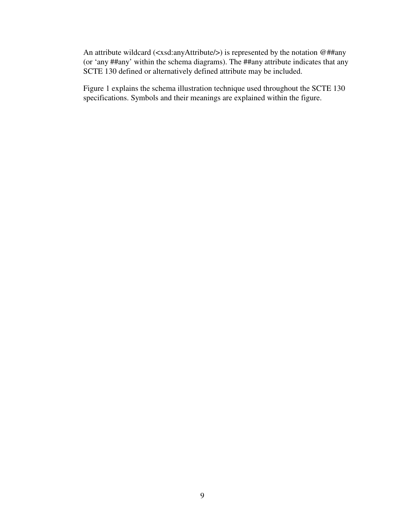An attribute wildcard (<xsd:anyAttribute/>) is represented by the notation @##any (or 'any ##any' within the schema diagrams). The ##any attribute indicates that any SCTE 130 defined or alternatively defined attribute may be included.

Figure 1 explains the schema illustration technique used throughout the SCTE 130 specifications. Symbols and their meanings are explained within the figure.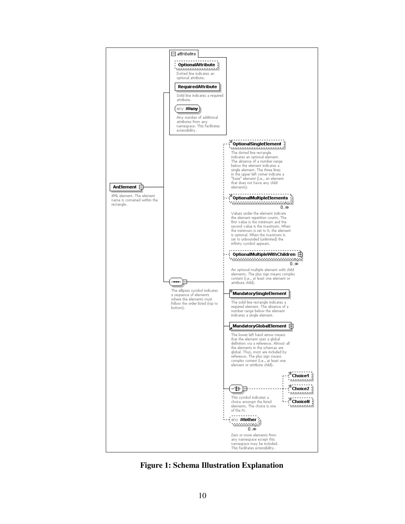

**Figure 1: Schema Illustration Explanation**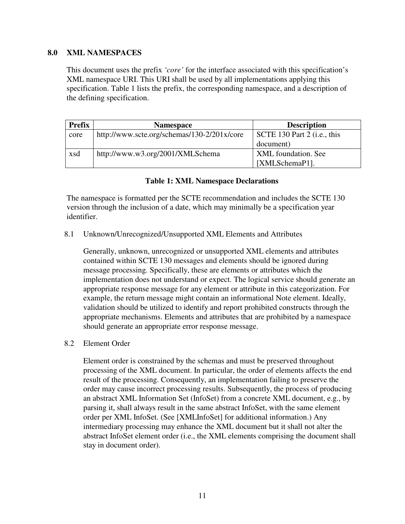## **8.0 XML NAMESPACES**

This document uses the prefix *'core'* for the interface associated with this specification's XML namespace URI. This URI shall be used by all implementations applying this specification. Table 1 lists the prefix, the corresponding namespace, and a description of the defining specification.

| <b>Prefix</b> | <b>Namespace</b>                            | <b>Description</b>                  |
|---------------|---------------------------------------------|-------------------------------------|
| core          | http://www.scte.org/schemas/130-2/201x/core | $\vert$ SCTE 130 Part 2 (i.e., this |
|               |                                             | document)                           |
| xsd           | http://www.w3.org/2001/XMLSchema            | XML foundation. See                 |
|               |                                             | [XMLSchemaP1].                      |

#### **Table 1: XML Namespace Declarations**

The namespace is formatted per the SCTE recommendation and includes the SCTE 130 version through the inclusion of a date, which may minimally be a specification year identifier.

#### 8.1 Unknown/Unrecognized/Unsupported XML Elements and Attributes

Generally, unknown, unrecognized or unsupported XML elements and attributes contained within SCTE 130 messages and elements should be ignored during message processing. Specifically, these are elements or attributes which the implementation does not understand or expect. The logical service should generate an appropriate response message for any element or attribute in this categorization. For example, the return message might contain an informational Note element. Ideally, validation should be utilized to identify and report prohibited constructs through the appropriate mechanisms. Elements and attributes that are prohibited by a namespace should generate an appropriate error response message.

#### 8.2 Element Order

Element order is constrained by the schemas and must be preserved throughout processing of the XML document. In particular, the order of elements affects the end result of the processing. Consequently, an implementation failing to preserve the order may cause incorrect processing results. Subsequently, the process of producing an abstract XML Information Set (InfoSet) from a concrete XML document, e.g., by parsing it, shall always result in the same abstract InfoSet, with the same element order per XML InfoSet. (See [XMLInfoSet] for additional information.) Any intermediary processing may enhance the XML document but it shall not alter the abstract InfoSet element order (i.e., the XML elements comprising the document shall stay in document order).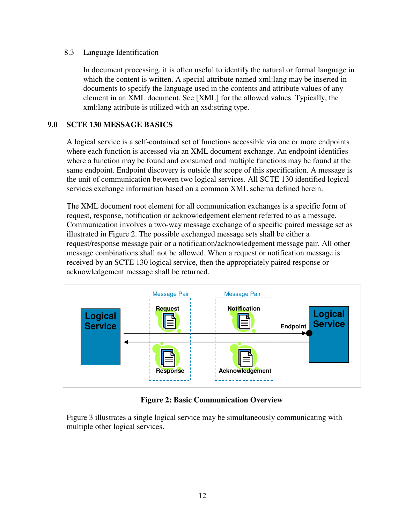## 8.3 Language Identification

In document processing, it is often useful to identify the natural or formal language in which the content is written. A special attribute named xml:lang may be inserted in documents to specify the language used in the contents and attribute values of any element in an XML document. See [XML] for the allowed values. Typically, the xml:lang attribute is utilized with an xsd:string type.

## **9.0 SCTE 130 MESSAGE BASICS**

A logical service is a self-contained set of functions accessible via one or more endpoints where each function is accessed via an XML document exchange. An endpoint identifies where a function may be found and consumed and multiple functions may be found at the same endpoint. Endpoint discovery is outside the scope of this specification. A message is the unit of communication between two logical services. All SCTE 130 identified logical services exchange information based on a common XML schema defined herein.

The XML document root element for all communication exchanges is a specific form of request, response, notification or acknowledgement element referred to as a message. Communication involves a two-way message exchange of a specific paired message set as illustrated in Figure 2. The possible exchanged message sets shall be either a request/response message pair or a notification/acknowledgement message pair. All other message combinations shall not be allowed. When a request or notification message is received by an SCTE 130 logical service, then the appropriately paired response or acknowledgement message shall be returned.



## **Figure 2: Basic Communication Overview**

Figure 3 illustrates a single logical service may be simultaneously communicating with multiple other logical services.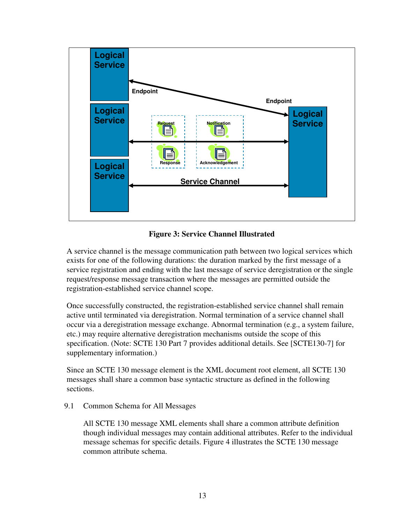

**Figure 3: Service Channel Illustrated** 

A service channel is the message communication path between two logical services which exists for one of the following durations: the duration marked by the first message of a service registration and ending with the last message of service deregistration or the single request/response message transaction where the messages are permitted outside the registration-established service channel scope.

Once successfully constructed, the registration-established service channel shall remain active until terminated via deregistration. Normal termination of a service channel shall occur via a deregistration message exchange. Abnormal termination (e.g., a system failure, etc.) may require alternative deregistration mechanisms outside the scope of this specification. (Note: SCTE 130 Part 7 provides additional details. See [SCTE130-7] for supplementary information.)

Since an SCTE 130 message element is the XML document root element, all SCTE 130 messages shall share a common base syntactic structure as defined in the following sections.

9.1 Common Schema for All Messages

All SCTE 130 message XML elements shall share a common attribute definition though individual messages may contain additional attributes. Refer to the individual message schemas for specific details. Figure 4 illustrates the SCTE 130 message common attribute schema.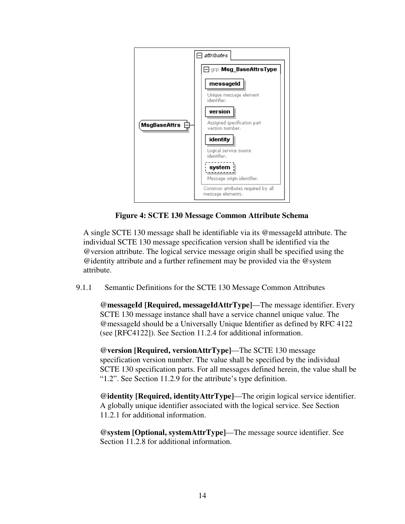

**Figure 4: SCTE 130 Message Common Attribute Schema** 

A single SCTE 130 message shall be identifiable via its @messageId attribute. The individual SCTE 130 message specification version shall be identified via the @version attribute. The logical service message origin shall be specified using the @identity attribute and a further refinement may be provided via the @system attribute.

9.1.1 Semantic Definitions for the SCTE 130 Message Common Attributes

**@messageId [Required, messageIdAttrType]**—The message identifier. Every SCTE 130 message instance shall have a service channel unique value. The @messageId should be a Universally Unique Identifier as defined by RFC 4122 (see [RFC4122]). See Section 11.2.4 for additional information.

**@version [Required, versionAttrType]**—The SCTE 130 message specification version number. The value shall be specified by the individual SCTE 130 specification parts. For all messages defined herein, the value shall be "1.2". See Section 11.2.9 for the attribute's type definition.

**@identity [Required, identityAttrType]**—The origin logical service identifier. A globally unique identifier associated with the logical service. See Section 11.2.1 for additional information.

**@system [Optional, systemAttrType]**—The message source identifier. See Section 11.2.8 for additional information.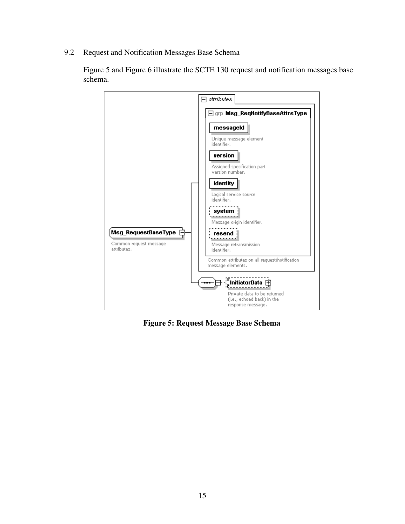9.2 Request and Notification Messages Base Schema

Figure 5 and Figure 6 illustrate the SCTE 130 request and notification messages base schema.



**Figure 5: Request Message Base Schema**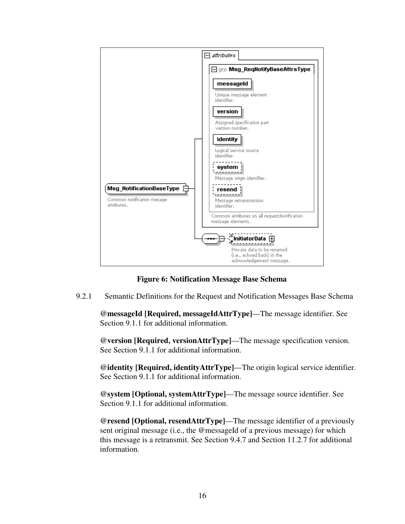

## **Figure 6: Notification Message Base Schema**

9.2.1 Semantic Definitions for the Request and Notification Messages Base Schema

**@messageId [Required, messageIdAttrType]**—The message identifier. See Section 9.1.1 for additional information.

**@version [Required, versionAttrType]**—The message specification version. See Section 9.1.1 for additional information.

**@identity [Required, identityAttrType]**—The origin logical service identifier. See Section 9.1.1 for additional information.

**@system [Optional, systemAttrType]**—The message source identifier. See Section 9.1.1 for additional information.

**@resend [Optional, resendAttrType]**—The message identifier of a previously sent original message (i.e., the @messageId of a previous message) for which this message is a retransmit. See Section 9.4.7 and Section 11.2.7 for additional information.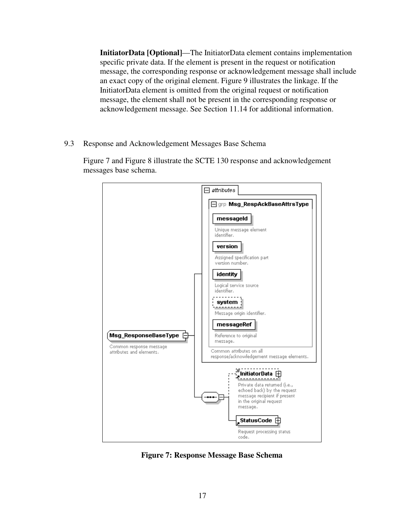**InitiatorData [Optional]**—The InitiatorData element contains implementation specific private data. If the element is present in the request or notification message, the corresponding response or acknowledgement message shall include an exact copy of the original element. Figure 9 illustrates the linkage. If the InitiatorData element is omitted from the original request or notification message, the element shall not be present in the corresponding response or acknowledgement message. See Section 11.14 for additional information.

9.3 Response and Acknowledgement Messages Base Schema

Figure 7 and Figure 8 illustrate the SCTE 130 response and acknowledgement messages base schema.



**Figure 7: Response Message Base Schema**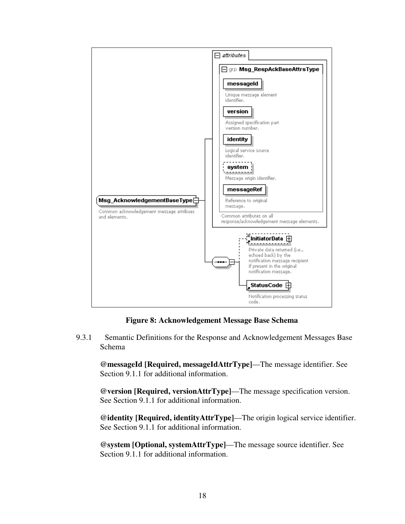

**Figure 8: Acknowledgement Message Base Schema** 

9.3.1 Semantic Definitions for the Response and Acknowledgement Messages Base Schema

**@messageId [Required, messageIdAttrType]**—The message identifier. See Section 9.1.1 for additional information.

**@version [Required, versionAttrType]**—The message specification version. See Section 9.1.1 for additional information.

**@identity [Required, identityAttrType]**—The origin logical service identifier. See Section 9.1.1 for additional information.

**@system [Optional, systemAttrType]**—The message source identifier. See Section 9.1.1 for additional information.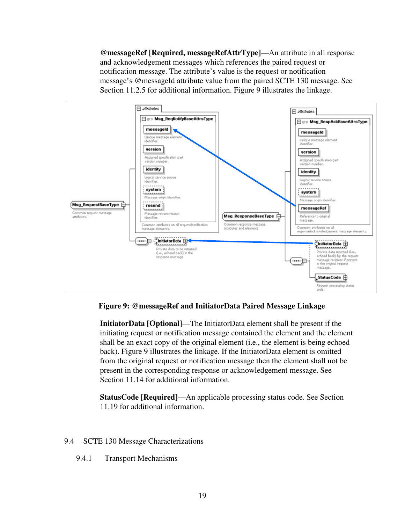**@messageRef [Required, messageRefAttrType]**—An attribute in all response and acknowledgement messages which references the paired request or notification message. The attribute's value is the request or notification message's @messageId attribute value from the paired SCTE 130 message. See Section 11.2.5 for additional information. Figure 9 illustrates the linkage.



**Figure 9: @messageRef and InitiatorData Paired Message Linkage** 

**InitiatorData [Optional]**—The InitiatorData element shall be present if the initiating request or notification message contained the element and the element shall be an exact copy of the original element (i.e., the element is being echoed back). Figure 9 illustrates the linkage. If the InitiatorData element is omitted from the original request or notification message then the element shall not be present in the corresponding response or acknowledgement message. See Section 11.14 for additional information.

**StatusCode [Required]**—An applicable processing status code. See Section 11.19 for additional information.

## 9.4 SCTE 130 Message Characterizations

9.4.1 Transport Mechanisms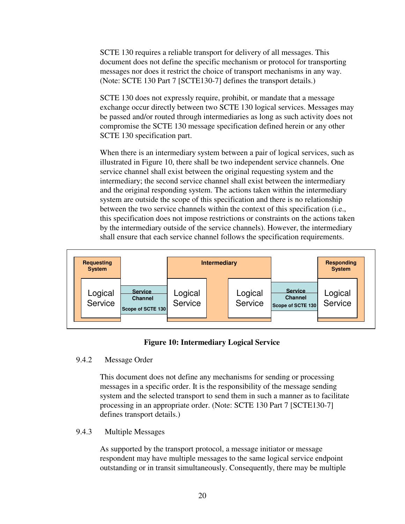SCTE 130 requires a reliable transport for delivery of all messages. This document does not define the specific mechanism or protocol for transporting messages nor does it restrict the choice of transport mechanisms in any way. (Note: SCTE 130 Part 7 [SCTE130-7] defines the transport details.)

SCTE 130 does not expressly require, prohibit, or mandate that a message exchange occur directly between two SCTE 130 logical services. Messages may be passed and/or routed through intermediaries as long as such activity does not compromise the SCTE 130 message specification defined herein or any other SCTE 130 specification part.

When there is an intermediary system between a pair of logical services, such as illustrated in Figure 10, there shall be two independent service channels. One service channel shall exist between the original requesting system and the intermediary; the second service channel shall exist between the intermediary and the original responding system. The actions taken within the intermediary system are outside the scope of this specification and there is no relationship between the two service channels within the context of this specification (i.e., this specification does not impose restrictions or constraints on the actions taken by the intermediary outside of the service channels). However, the intermediary shall ensure that each service channel follows the specification requirements.



## **Figure 10: Intermediary Logical Service**

## 9.4.2 Message Order

This document does not define any mechanisms for sending or processing messages in a specific order. It is the responsibility of the message sending system and the selected transport to send them in such a manner as to facilitate processing in an appropriate order. (Note: SCTE 130 Part 7 [SCTE130-7] defines transport details.)

## 9.4.3 Multiple Messages

As supported by the transport protocol, a message initiator or message respondent may have multiple messages to the same logical service endpoint outstanding or in transit simultaneously. Consequently, there may be multiple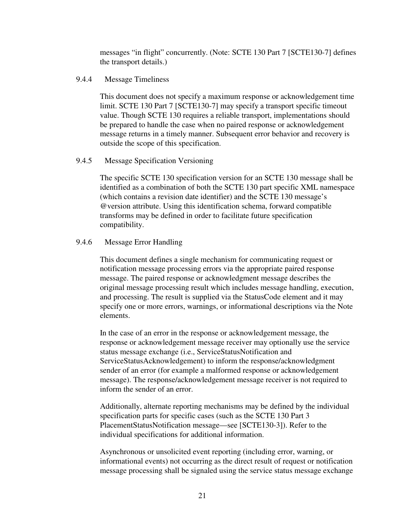messages "in flight" concurrently. (Note: SCTE 130 Part 7 [SCTE130-7] defines the transport details.)

## 9.4.4 Message Timeliness

This document does not specify a maximum response or acknowledgement time limit. SCTE 130 Part 7 [SCTE130-7] may specify a transport specific timeout value. Though SCTE 130 requires a reliable transport, implementations should be prepared to handle the case when no paired response or acknowledgement message returns in a timely manner. Subsequent error behavior and recovery is outside the scope of this specification.

## 9.4.5 Message Specification Versioning

The specific SCTE 130 specification version for an SCTE 130 message shall be identified as a combination of both the SCTE 130 part specific XML namespace (which contains a revision date identifier) and the SCTE 130 message's @version attribute. Using this identification schema, forward compatible transforms may be defined in order to facilitate future specification compatibility.

## 9.4.6 Message Error Handling

This document defines a single mechanism for communicating request or notification message processing errors via the appropriate paired response message. The paired response or acknowledgment message describes the original message processing result which includes message handling, execution, and processing. The result is supplied via the StatusCode element and it may specify one or more errors, warnings, or informational descriptions via the Note elements.

In the case of an error in the response or acknowledgement message, the response or acknowledgement message receiver may optionally use the service status message exchange (i.e., ServiceStatusNotification and ServiceStatusAcknowledgement) to inform the response/acknowledgment sender of an error (for example a malformed response or acknowledgement message). The response/acknowledgement message receiver is not required to inform the sender of an error.

Additionally, alternate reporting mechanisms may be defined by the individual specification parts for specific cases (such as the SCTE 130 Part 3 PlacementStatusNotification message—see [SCTE130-3]). Refer to the individual specifications for additional information.

Asynchronous or unsolicited event reporting (including error, warning, or informational events) not occurring as the direct result of request or notification message processing shall be signaled using the service status message exchange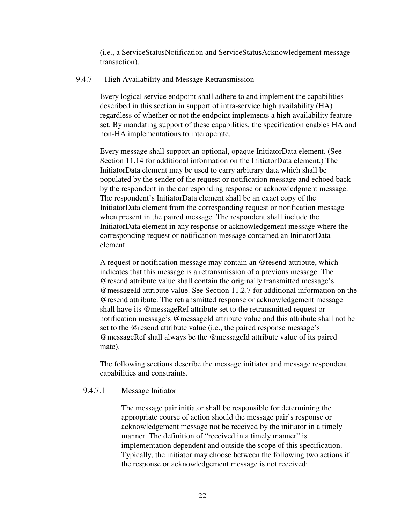(i.e., a ServiceStatusNotification and ServiceStatusAcknowledgement message transaction).

### 9.4.7 High Availability and Message Retransmission

Every logical service endpoint shall adhere to and implement the capabilities described in this section in support of intra-service high availability (HA) regardless of whether or not the endpoint implements a high availability feature set. By mandating support of these capabilities, the specification enables HA and non-HA implementations to interoperate.

Every message shall support an optional, opaque InitiatorData element. (See Section 11.14 for additional information on the InitiatorData element.) The InitiatorData element may be used to carry arbitrary data which shall be populated by the sender of the request or notification message and echoed back by the respondent in the corresponding response or acknowledgment message. The respondent's InitiatorData element shall be an exact copy of the InitiatorData element from the corresponding request or notification message when present in the paired message. The respondent shall include the InitiatorData element in any response or acknowledgement message where the corresponding request or notification message contained an InitiatorData element.

A request or notification message may contain an @resend attribute, which indicates that this message is a retransmission of a previous message. The @resend attribute value shall contain the originally transmitted message's @messageId attribute value. See Section 11.2.7 for additional information on the @resend attribute. The retransmitted response or acknowledgement message shall have its @messageRef attribute set to the retransmitted request or notification message's @messageId attribute value and this attribute shall not be set to the @resend attribute value (i.e., the paired response message's @messageRef shall always be the @messageId attribute value of its paired mate).

The following sections describe the message initiator and message respondent capabilities and constraints.

#### 9.4.7.1 Message Initiator

The message pair initiator shall be responsible for determining the appropriate course of action should the message pair's response or acknowledgement message not be received by the initiator in a timely manner. The definition of "received in a timely manner" is implementation dependent and outside the scope of this specification. Typically, the initiator may choose between the following two actions if the response or acknowledgement message is not received: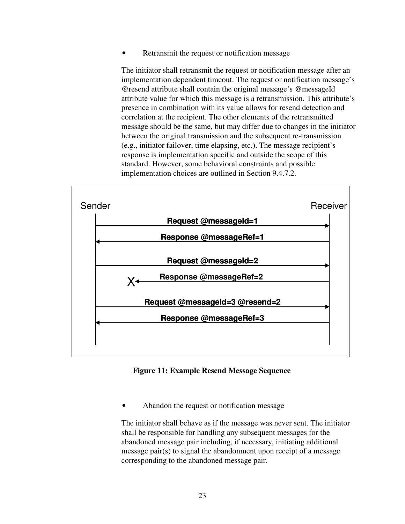Retransmit the request or notification message

The initiator shall retransmit the request or notification message after an implementation dependent timeout. The request or notification message's @resend attribute shall contain the original message's @messageId attribute value for which this message is a retransmission. This attribute's presence in combination with its value allows for resend detection and correlation at the recipient. The other elements of the retransmitted message should be the same, but may differ due to changes in the initiator between the original transmission and the subsequent re-transmission (e.g., initiator failover, time elapsing, etc.). The message recipient's response is implementation specific and outside the scope of this standard. However, some behavioral constraints and possible implementation choices are outlined in Section 9.4.7.2.



#### **Figure 11: Example Resend Message Sequence**

• Abandon the request or notification message

The initiator shall behave as if the message was never sent. The initiator shall be responsible for handling any subsequent messages for the abandoned message pair including, if necessary, initiating additional message pair(s) to signal the abandonment upon receipt of a message corresponding to the abandoned message pair.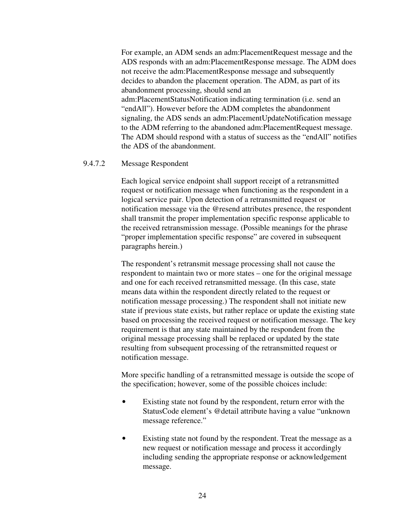For example, an ADM sends an adm:PlacementRequest message and the ADS responds with an adm:PlacementResponse message. The ADM does not receive the adm:PlacementResponse message and subsequently decides to abandon the placement operation. The ADM, as part of its abandonment processing, should send an adm:PlacementStatusNotification indicating termination (i.e. send an "endAll"). However before the ADM completes the abandonment signaling, the ADS sends an adm:PlacementUpdateNotification message to the ADM referring to the abandoned adm:PlacementRequest message. The ADM should respond with a status of success as the "endAll" notifies the ADS of the abandonment.

## 9.4.7.2 Message Respondent

Each logical service endpoint shall support receipt of a retransmitted request or notification message when functioning as the respondent in a logical service pair. Upon detection of a retransmitted request or notification message via the @resend attributes presence, the respondent shall transmit the proper implementation specific response applicable to the received retransmission message. (Possible meanings for the phrase "proper implementation specific response" are covered in subsequent paragraphs herein.)

The respondent's retransmit message processing shall not cause the respondent to maintain two or more states – one for the original message and one for each received retransmitted message. (In this case, state means data within the respondent directly related to the request or notification message processing.) The respondent shall not initiate new state if previous state exists, but rather replace or update the existing state based on processing the received request or notification message. The key requirement is that any state maintained by the respondent from the original message processing shall be replaced or updated by the state resulting from subsequent processing of the retransmitted request or notification message.

More specific handling of a retransmitted message is outside the scope of the specification; however, some of the possible choices include:

- Existing state not found by the respondent, return error with the StatusCode element's @detail attribute having a value "unknown message reference."
- Existing state not found by the respondent. Treat the message as a new request or notification message and process it accordingly including sending the appropriate response or acknowledgement message.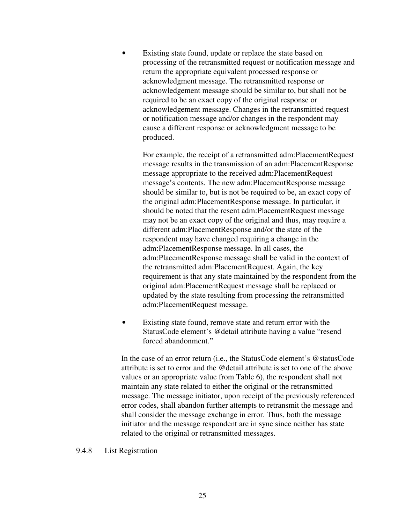Existing state found, update or replace the state based on processing of the retransmitted request or notification message and return the appropriate equivalent processed response or acknowledgment message. The retransmitted response or acknowledgement message should be similar to, but shall not be required to be an exact copy of the original response or acknowledgement message. Changes in the retransmitted request or notification message and/or changes in the respondent may cause a different response or acknowledgment message to be produced.

For example, the receipt of a retransmitted adm:PlacementRequest message results in the transmission of an adm:PlacementResponse message appropriate to the received adm:PlacementRequest message's contents. The new adm:PlacementResponse message should be similar to, but is not be required to be, an exact copy of the original adm:PlacementResponse message. In particular, it should be noted that the resent adm:PlacementRequest message may not be an exact copy of the original and thus, may require a different adm:PlacementResponse and/or the state of the respondent may have changed requiring a change in the adm:PlacementResponse message. In all cases, the adm:PlacementResponse message shall be valid in the context of the retransmitted adm:PlacementRequest. Again, the key requirement is that any state maintained by the respondent from the original adm:PlacementRequest message shall be replaced or updated by the state resulting from processing the retransmitted adm:PlacementRequest message.

Existing state found, remove state and return error with the StatusCode element's @detail attribute having a value "resend forced abandonment."

In the case of an error return (i.e., the StatusCode element's @statusCode attribute is set to error and the @detail attribute is set to one of the above values or an appropriate value from Table 6), the respondent shall not maintain any state related to either the original or the retransmitted message. The message initiator, upon receipt of the previously referenced error codes, shall abandon further attempts to retransmit the message and shall consider the message exchange in error. Thus, both the message initiator and the message respondent are in sync since neither has state related to the original or retransmitted messages.

#### 9.4.8 List Registration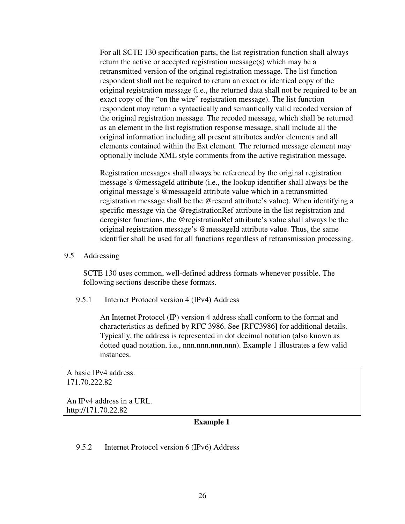For all SCTE 130 specification parts, the list registration function shall always return the active or accepted registration message(s) which may be a retransmitted version of the original registration message. The list function respondent shall not be required to return an exact or identical copy of the original registration message (i.e., the returned data shall not be required to be an exact copy of the "on the wire" registration message). The list function respondent may return a syntactically and semantically valid recoded version of the original registration message. The recoded message, which shall be returned as an element in the list registration response message, shall include all the original information including all present attributes and/or elements and all elements contained within the Ext element. The returned message element may optionally include XML style comments from the active registration message.

Registration messages shall always be referenced by the original registration message's @messageId attribute (i.e., the lookup identifier shall always be the original message's @messageId attribute value which in a retransmitted registration message shall be the @resend attribute's value). When identifying a specific message via the @registrationRef attribute in the list registration and deregister functions, the @registrationRef attribute's value shall always be the original registration message's @messageId attribute value. Thus, the same identifier shall be used for all functions regardless of retransmission processing.

#### 9.5 Addressing

SCTE 130 uses common, well-defined address formats whenever possible. The following sections describe these formats.

#### 9.5.1 Internet Protocol version 4 (IPv4) Address

An Internet Protocol (IP) version 4 address shall conform to the format and characteristics as defined by RFC 3986. See [RFC3986] for additional details. Typically, the address is represented in dot decimal notation (also known as dotted quad notation, i.e., nnn.nnn.nnn.nnn). Example 1 illustrates a few valid instances.

A basic IPv4 address. 171.70.222.82

An IPv4 address in a URL. http://171.70.22.82

## **Example 1**

## 9.5.2 Internet Protocol version 6 (IPv6) Address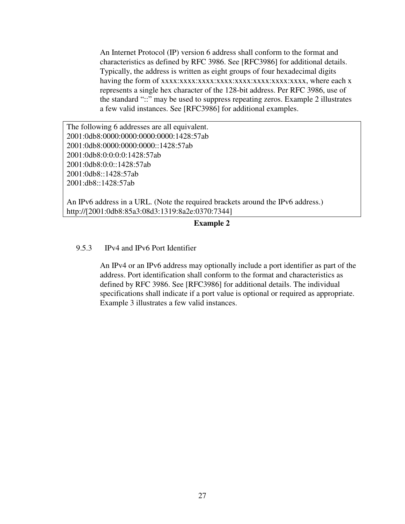An Internet Protocol (IP) version 6 address shall conform to the format and characteristics as defined by RFC 3986. See [RFC3986] for additional details. Typically, the address is written as eight groups of four hexadecimal digits having the form of xxxx:xxxx:xxxx:xxxx:xxxx:xxxx:xxxx:xxxx, where each x represents a single hex character of the 128-bit address. Per RFC 3986, use of the standard "::" may be used to suppress repeating zeros. Example 2 illustrates a few valid instances. See [RFC3986] for additional examples.

The following 6 addresses are all equivalent. 2001:0db8:0000:0000:0000:0000:1428:57ab 2001:0db8:0000:0000:0000::1428:57ab 2001:0db8:0:0:0:0:1428:57ab 2001:0db8:0:0::1428:57ab 2001:0db8::1428:57ab 2001:db8::1428:57ab

An IPv6 address in a URL. (Note the required brackets around the IPv6 address.) http://[2001:0db8:85a3:08d3:1319:8a2e:0370:7344]

#### **Example 2**

### 9.5.3 IPv4 and IPv6 Port Identifier

An IPv4 or an IPv6 address may optionally include a port identifier as part of the address. Port identification shall conform to the format and characteristics as defined by RFC 3986. See [RFC3986] for additional details. The individual specifications shall indicate if a port value is optional or required as appropriate. Example 3 illustrates a few valid instances.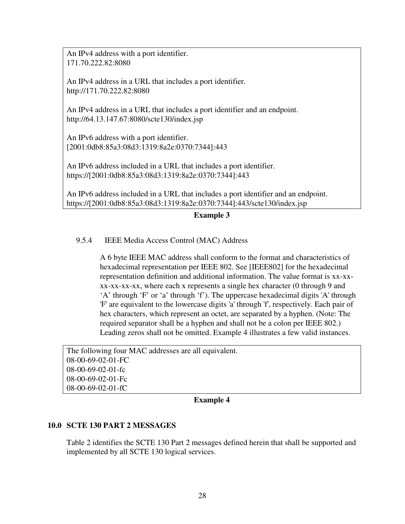An IPv4 address with a port identifier. 171.70.222.82:8080

An IPv4 address in a URL that includes a port identifier. http://171.70.222.82:8080

An IPv4 address in a URL that includes a port identifier and an endpoint. http://64.13.147.67:8080/scte130/index.jsp

An IPv6 address with a port identifier. [2001:0db8:85a3:08d3:1319:8a2e:0370:7344]:443

An IPv6 address included in a URL that includes a port identifier. https://[2001:0db8:85a3:08d3:1319:8a2e:0370:7344]:443

An IPv6 address included in a URL that includes a port identifier and an endpoint. https://[2001:0db8:85a3:08d3:1319:8a2e:0370:7344]:443/scte130/index.jsp

**Example 3** 

## 9.5.4 IEEE Media Access Control (MAC) Address

A 6 byte IEEE MAC address shall conform to the format and characteristics of hexadecimal representation per IEEE 802. See [IEEE802] for the hexadecimal representation definition and additional information. The value format is xx-xxxx-xx-xx-xx, where each x represents a single hex character (0 through 9 and 'A' through 'F' or 'a' through 'f'). The uppercase hexadecimal digits 'A' through 'F' are equivalent to the lowercase digits 'a' through 'f', respectively. Each pair of hex characters, which represent an octet, are separated by a hyphen. (Note: The required separator shall be a hyphen and shall not be a colon per IEEE 802.) Leading zeros shall not be omitted. Example 4 illustrates a few valid instances.

The following four MAC addresses are all equivalent. 08-00-69-02-01-FC 08-00-69-02-01-fc 08-00-69-02-01-Fc 08-00-69-02-01-fC

#### **Example 4**

#### **10.0 SCTE 130 PART 2 MESSAGES**

Table 2 identifies the SCTE 130 Part 2 messages defined herein that shall be supported and implemented by all SCTE 130 logical services.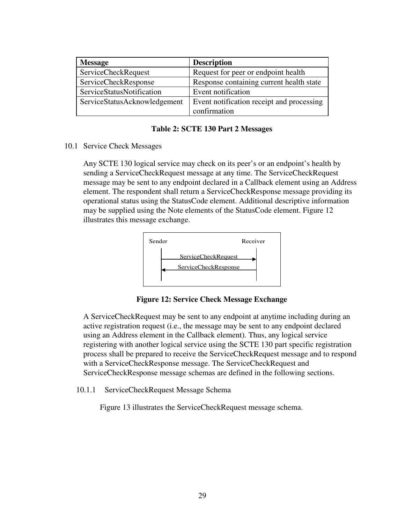| <b>Message</b>               | <b>Description</b>                        |
|------------------------------|-------------------------------------------|
| <b>ServiceCheckRequest</b>   | Request for peer or endpoint health       |
| <b>ServiceCheckResponse</b>  | Response containing current health state  |
| ServiceStatusNotification    | Event notification                        |
| ServiceStatusAcknowledgement | Event notification receipt and processing |
|                              | confirmation                              |

#### **Table 2: SCTE 130 Part 2 Messages**

#### 10.1 Service Check Messages

Any SCTE 130 logical service may check on its peer's or an endpoint's health by sending a ServiceCheckRequest message at any time. The ServiceCheckRequest message may be sent to any endpoint declared in a Callback element using an Address element. The respondent shall return a ServiceCheckResponse message providing its operational status using the StatusCode element. Additional descriptive information may be supplied using the Note elements of the StatusCode element. Figure 12 illustrates this message exchange.



**Figure 12: Service Check Message Exchange** 

A ServiceCheckRequest may be sent to any endpoint at anytime including during an active registration request (i.e., the message may be sent to any endpoint declared using an Address element in the Callback element). Thus, any logical service registering with another logical service using the SCTE 130 part specific registration process shall be prepared to receive the ServiceCheckRequest message and to respond with a ServiceCheckResponse message. The ServiceCheckRequest and ServiceCheckResponse message schemas are defined in the following sections.

10.1.1 ServiceCheckRequest Message Schema

Figure 13 illustrates the ServiceCheckRequest message schema.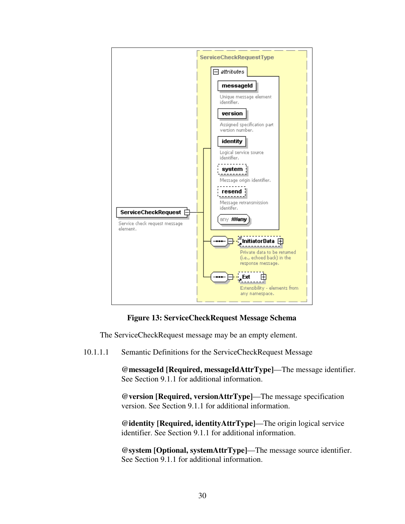

## **Figure 13: ServiceCheckRequest Message Schema**

The ServiceCheckRequest message may be an empty element.

10.1.1.1 Semantic Definitions for the ServiceCheckRequest Message

**@messageId [Required, messageIdAttrType]**—The message identifier. See Section 9.1.1 for additional information.

**@version [Required, versionAttrType]**—The message specification version. See Section 9.1.1 for additional information.

**@identity [Required, identityAttrType]**—The origin logical service identifier. See Section 9.1.1 for additional information.

**@system [Optional, systemAttrType]**—The message source identifier. See Section 9.1.1 for additional information.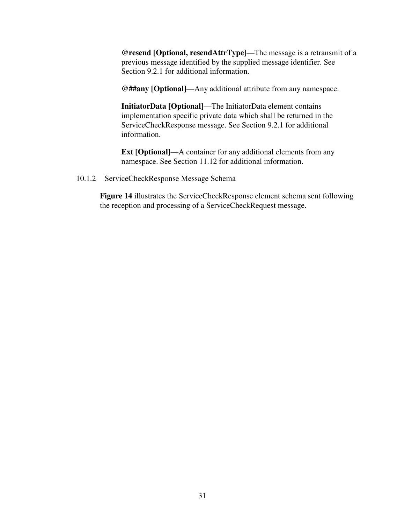**@resend [Optional, resendAttrType]**—The message is a retransmit of a previous message identified by the supplied message identifier. See Section 9.2.1 for additional information.

**@##any [Optional]**—Any additional attribute from any namespace.

**InitiatorData [Optional]**—The InitiatorData element contains implementation specific private data which shall be returned in the ServiceCheckResponse message. See Section 9.2.1 for additional information.

**Ext [Optional]**—A container for any additional elements from any namespace. See Section 11.12 for additional information.

#### 10.1.2 ServiceCheckResponse Message Schema

**Figure 14** illustrates the ServiceCheckResponse element schema sent following the reception and processing of a ServiceCheckRequest message.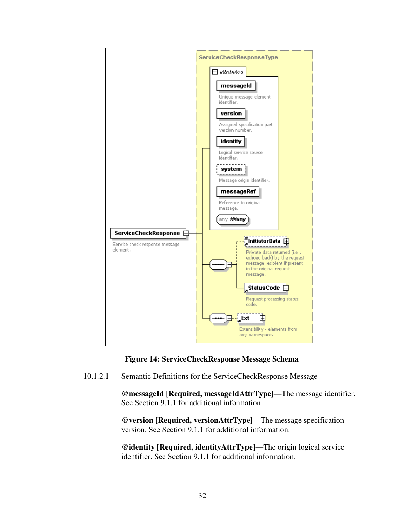

**Figure 14: ServiceCheckResponse Message Schema** 

10.1.2.1 Semantic Definitions for the ServiceCheckResponse Message

**@messageId [Required, messageIdAttrType]**—The message identifier. See Section 9.1.1 for additional information.

**@version [Required, versionAttrType]**—The message specification version. See Section 9.1.1 for additional information.

**@identity [Required, identityAttrType]**—The origin logical service identifier. See Section 9.1.1 for additional information.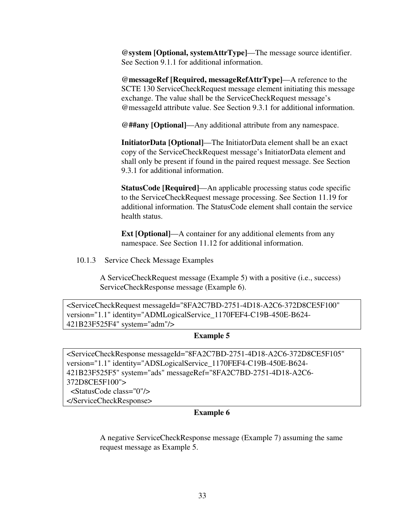**@system [Optional, systemAttrType]**—The message source identifier. See Section 9.1.1 for additional information.

**@messageRef [Required, messageRefAttrType]**—A reference to the SCTE 130 ServiceCheckRequest message element initiating this message exchange. The value shall be the ServiceCheckRequest message's @messageId attribute value. See Section 9.3.1 for additional information.

**@##any [Optional]**—Any additional attribute from any namespace.

**InitiatorData [Optional]**—The InitiatorData element shall be an exact copy of the ServiceCheckRequest message's InitiatorData element and shall only be present if found in the paired request message. See Section 9.3.1 for additional information.

**StatusCode [Required]**—An applicable processing status code specific to the ServiceCheckRequest message processing. See Section 11.19 for additional information. The StatusCode element shall contain the service health status.

**Ext [Optional]**—A container for any additional elements from any namespace. See Section 11.12 for additional information.

10.1.3 Service Check Message Examples

A ServiceCheckRequest message (Example 5) with a positive (i.e., success) ServiceCheckResponse message (Example 6).

<ServiceCheckRequest messageId="8FA2C7BD-2751-4D18-A2C6-372D8CE5F100" version="1.1" identity="ADMLogicalService\_1170FEF4-C19B-450E-B624- 421B23F525F4" system="adm"/>

**Example 5** 

<ServiceCheckResponse messageId="8FA2C7BD-2751-4D18-A2C6-372D8CE5F105" version="1.1" identity="ADSLogicalService\_1170FEF4-C19B-450E-B624- 421B23F525F5" system="ads" messageRef="8FA2C7BD-2751-4D18-A2C6- 372D8CE5F100"> <StatusCode class="0"/> </ServiceCheckResponse>

#### **Example 6**

A negative ServiceCheckResponse message (Example 7) assuming the same request message as Example 5.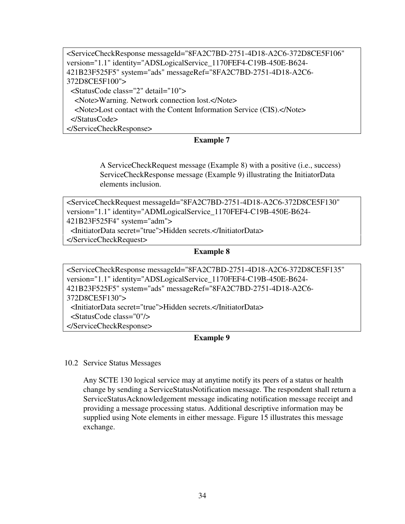| <servicecheckresponse <="" messageid="8FA2C7BD-2751-4D18-A2C6-372D8CE5F106" th=""></servicecheckresponse> |
|-----------------------------------------------------------------------------------------------------------|
| version="1.1" identity="ADSLogicalService_1170FEF4-C19B-450E-B624-                                        |
| 421B23F525F5" system="ads" messageRef="8FA2C7BD-2751-4D18-A2C6-                                           |
| 372D8CE5F100">                                                                                            |
| <statuscode class="2" detail="10"></statuscode>                                                           |
| <note>Warning. Network connection lost.</note>                                                            |
| <note>Lost contact with the Content Information Service (CIS).</note>                                     |
| $\triangle$ StatusCode>                                                                                   |
| $\langle$ ServiceCheckResponse>                                                                           |

## **Example 7**

A ServiceCheckRequest message (Example 8) with a positive (i.e., success) ServiceCheckResponse message (Example 9) illustrating the InitiatorData elements inclusion.

<ServiceCheckRequest messageId="8FA2C7BD-2751-4D18-A2C6-372D8CE5F130" version="1.1" identity="ADMLogicalService\_1170FEF4-C19B-450E-B624- 421B23F525F4" system="adm"> <InitiatorData secret="true">Hidden secrets.</InitiatorData>

</ServiceCheckRequest>

### **Example 8**

<ServiceCheckResponse messageId="8FA2C7BD-2751-4D18-A2C6-372D8CE5F135" version="1.1" identity="ADSLogicalService\_1170FEF4-C19B-450E-B624- 421B23F525F5" system="ads" messageRef="8FA2C7BD-2751-4D18-A2C6- 372D8CE5F130"> <InitiatorData secret="true">Hidden secrets.</InitiatorData> <StatusCode class="0"/> </ServiceCheckResponse>

## **Example 9**

10.2 Service Status Messages

Any SCTE 130 logical service may at anytime notify its peers of a status or health change by sending a ServiceStatusNotification message. The respondent shall return a ServiceStatusAcknowledgement message indicating notification message receipt and providing a message processing status. Additional descriptive information may be supplied using Note elements in either message. Figure 15 illustrates this message exchange.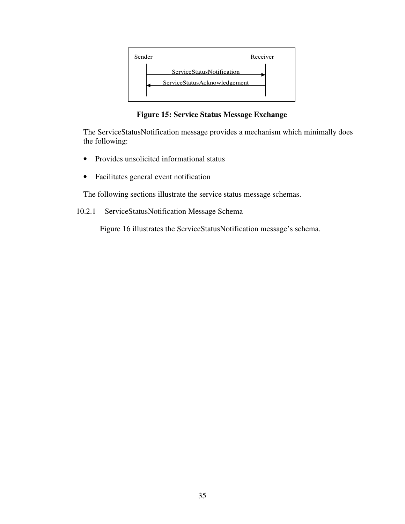

**Figure 15: Service Status Message Exchange** 

The ServiceStatusNotification message provides a mechanism which minimally does the following:

- Provides unsolicited informational status
- Facilitates general event notification

The following sections illustrate the service status message schemas.

10.2.1 ServiceStatusNotification Message Schema

Figure 16 illustrates the ServiceStatusNotification message's schema.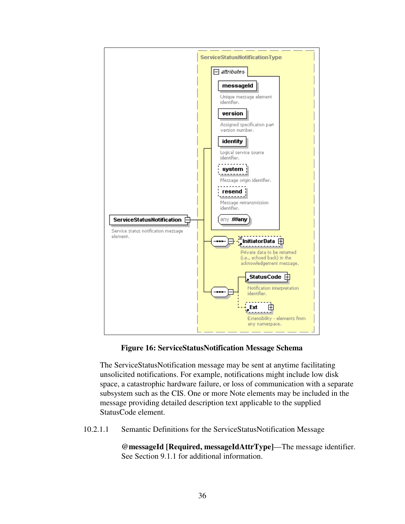

## **Figure 16: ServiceStatusNotification Message Schema**

The ServiceStatusNotification message may be sent at anytime facilitating unsolicited notifications. For example, notifications might include low disk space, a catastrophic hardware failure, or loss of communication with a separate subsystem such as the CIS. One or more Note elements may be included in the message providing detailed description text applicable to the supplied StatusCode element.

10.2.1.1 Semantic Definitions for the ServiceStatusNotification Message

**@messageId [Required, messageIdAttrType]**—The message identifier. See Section 9.1.1 for additional information.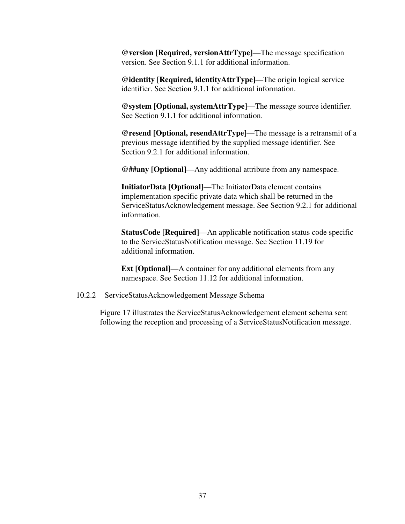**@version [Required, versionAttrType]**—The message specification version. See Section 9.1.1 for additional information.

**@identity [Required, identityAttrType]**—The origin logical service identifier. See Section 9.1.1 for additional information.

**@system [Optional, systemAttrType]**—The message source identifier. See Section 9.1.1 for additional information.

**@resend [Optional, resendAttrType]**—The message is a retransmit of a previous message identified by the supplied message identifier. See Section 9.2.1 for additional information.

**@##any [Optional]**—Any additional attribute from any namespace.

**InitiatorData [Optional]**—The InitiatorData element contains implementation specific private data which shall be returned in the ServiceStatusAcknowledgement message. See Section 9.2.1 for additional information.

**StatusCode [Required]**—An applicable notification status code specific to the ServiceStatusNotification message. See Section 11.19 for additional information.

**Ext [Optional]**—A container for any additional elements from any namespace. See Section 11.12 for additional information.

#### 10.2.2 ServiceStatusAcknowledgement Message Schema

Figure 17 illustrates the ServiceStatusAcknowledgement element schema sent following the reception and processing of a ServiceStatusNotification message.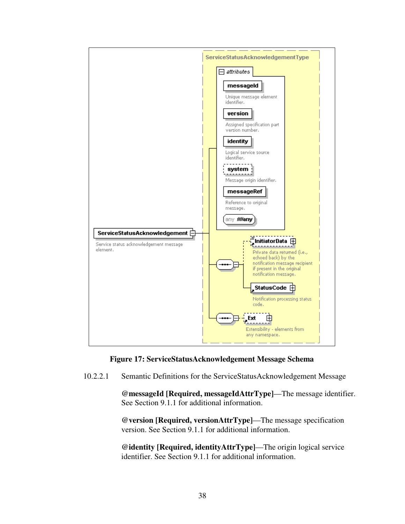

#### **Figure 17: ServiceStatusAcknowledgement Message Schema**

10.2.2.1 Semantic Definitions for the ServiceStatusAcknowledgement Message

**@messageId [Required, messageIdAttrType]**—The message identifier. See Section 9.1.1 for additional information.

**@version [Required, versionAttrType]**—The message specification version. See Section 9.1.1 for additional information.

**@identity [Required, identityAttrType]**—The origin logical service identifier. See Section 9.1.1 for additional information.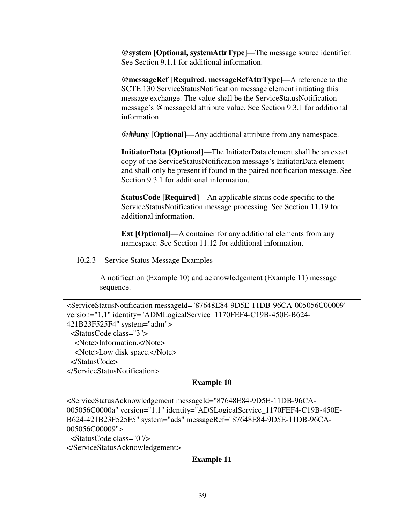**@system [Optional, systemAttrType]**—The message source identifier. See Section 9.1.1 for additional information.

**@messageRef [Required, messageRefAttrType]**—A reference to the SCTE 130 ServiceStatusNotification message element initiating this message exchange. The value shall be the ServiceStatusNotification message's @messageId attribute value. See Section 9.3.1 for additional information.

**@##any [Optional]**—Any additional attribute from any namespace.

**InitiatorData [Optional]**—The InitiatorData element shall be an exact copy of the ServiceStatusNotification message's InitiatorData element and shall only be present if found in the paired notification message. See Section 9.3.1 for additional information.

**StatusCode [Required]**—An applicable status code specific to the ServiceStatusNotification message processing. See Section 11.19 for additional information.

**Ext [Optional]—A** container for any additional elements from any namespace. See Section 11.12 for additional information.

10.2.3 Service Status Message Examples

A notification (Example 10) and acknowledgement (Example 11) message sequence.

| <servicestatusnotification <="" messageid="87648E84-9D5E-11DB-96CA-005056C00009" th=""></servicestatusnotification> |
|---------------------------------------------------------------------------------------------------------------------|
| version="1.1" identity="ADMLogicalService_1170FEF4-C19B-450E-B624-                                                  |
| 421B23F525F4" system="adm">                                                                                         |
| $\leq$ StatusCode class="3">                                                                                        |
| <note>Information.</note>                                                                                           |
| <note>Low disk space.</note>                                                                                        |
| $\langle$ StatusCode>                                                                                               |
|                                                                                                                     |

## **Example 10**

<ServiceStatusAcknowledgement messageId="87648E84-9D5E-11DB-96CA-005056C0000a" version="1.1" identity="ADSLogicalService\_1170FEF4-C19B-450E-B624-421B23F525F5" system="ads" messageRef="87648E84-9D5E-11DB-96CA-005056C00009"> <StatusCode class="0"/> </ServiceStatusAcknowledgement>

#### **Example 11**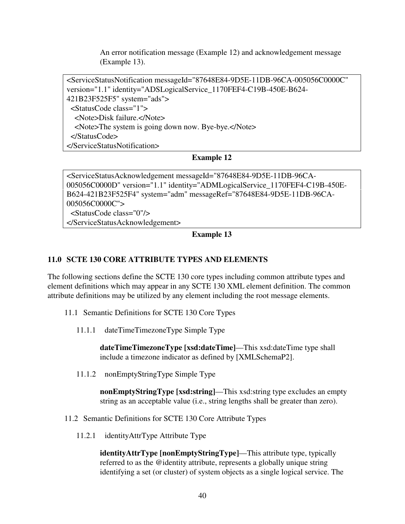An error notification message (Example 12) and acknowledgement message (Example 13).

<ServiceStatusNotification messageId="87648E84-9D5E-11DB-96CA-005056C0000C" version="1.1" identity="ADSLogicalService\_1170FEF4-C19B-450E-B624- 421B23F525F5" system="ads"> <StatusCode class="1"> <Note>Disk failure.</Note> <Note>The system is going down now. Bye-bye.</Note> </StatusCode> </ServiceStatusNotification>

## **Example 12**

<ServiceStatusAcknowledgement messageId="87648E84-9D5E-11DB-96CA-005056C0000D" version="1.1" identity="ADMLogicalService\_1170FEF4-C19B-450E-B624-421B23F525F4" system="adm" messageRef="87648E84-9D5E-11DB-96CA-005056C0000C"> <StatusCode class="0"/> </ServiceStatusAcknowledgement>

**Example 13** 

# **11.0 SCTE 130 CORE ATTRIBUTE TYPES AND ELEMENTS**

The following sections define the SCTE 130 core types including common attribute types and element definitions which may appear in any SCTE 130 XML element definition. The common attribute definitions may be utilized by any element including the root message elements.

- 11.1 Semantic Definitions for SCTE 130 Core Types
	- 11.1.1 dateTimeTimezoneType Simple Type

**dateTimeTimezoneType [xsd:dateTime]**—This xsd:dateTime type shall include a timezone indicator as defined by [XMLSchemaP2].

11.1.2 nonEmptyStringType Simple Type

**nonEmptyStringType [xsd:string]**—This xsd:string type excludes an empty string as an acceptable value (i.e., string lengths shall be greater than zero).

- 11.2 Semantic Definitions for SCTE 130 Core Attribute Types
	- 11.2.1 identityAttrType Attribute Type

**identityAttrType [nonEmptyStringType]**—This attribute type, typically referred to as the @identity attribute, represents a globally unique string identifying a set (or cluster) of system objects as a single logical service. The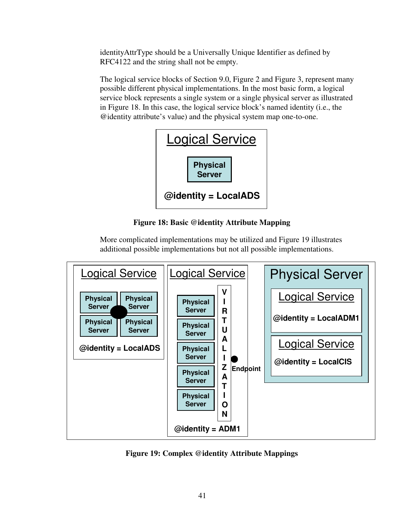identityAttrType should be a Universally Unique Identifier as defined by RFC4122 and the string shall not be empty.

The logical service blocks of Section 9.0, Figure 2 and Figure 3, represent many possible different physical implementations. In the most basic form, a logical service block represents a single system or a single physical server as illustrated in Figure 18. In this case, the logical service block's named identity (i.e., the @identity attribute's value) and the physical system map one-to-one.

| <b>Logical Service</b>       |  |
|------------------------------|--|
| <b>Physical</b><br>Server    |  |
| $\omega$ identity = LocalADS |  |

**Figure 18: Basic @identity Attribute Mapping**

More complicated implementations may be utilized and Figure 19 illustrates additional possible implementations but not all possible implementations.



**Figure 19: Complex @identity Attribute Mappings**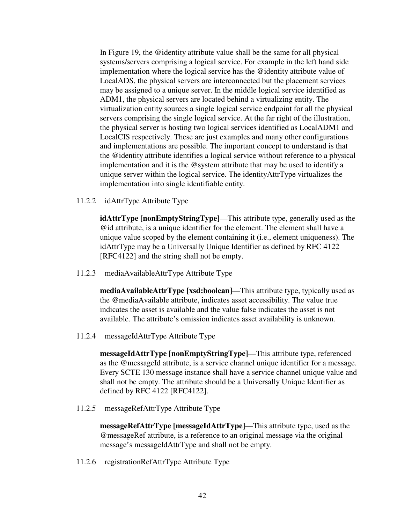In Figure 19, the @identity attribute value shall be the same for all physical systems/servers comprising a logical service. For example in the left hand side implementation where the logical service has the @identity attribute value of LocalADS, the physical servers are interconnected but the placement services may be assigned to a unique server. In the middle logical service identified as ADM1, the physical servers are located behind a virtualizing entity. The virtualization entity sources a single logical service endpoint for all the physical servers comprising the single logical service. At the far right of the illustration, the physical server is hosting two logical services identified as LocalADM1 and LocalCIS respectively. These are just examples and many other configurations and implementations are possible. The important concept to understand is that the @identity attribute identifies a logical service without reference to a physical implementation and it is the @system attribute that may be used to identify a unique server within the logical service. The identityAttrType virtualizes the implementation into single identifiable entity.

11.2.2 idAttrType Attribute Type

**idAttrType [nonEmptyStringType]**—This attribute type, generally used as the @id attribute, is a unique identifier for the element. The element shall have a unique value scoped by the element containing it (i.e., element uniqueness). The idAttrType may be a Universally Unique Identifier as defined by RFC 4122 [RFC4122] and the string shall not be empty.

11.2.3 mediaAvailableAttrType Attribute Type

**mediaAvailableAttrType [xsd:boolean]**—This attribute type, typically used as the @mediaAvailable attribute, indicates asset accessibility. The value true indicates the asset is available and the value false indicates the asset is not available. The attribute's omission indicates asset availability is unknown.

11.2.4 messageIdAttrType Attribute Type

**messageIdAttrType [nonEmptyStringType]**—This attribute type, referenced as the @messageId attribute, is a service channel unique identifier for a message. Every SCTE 130 message instance shall have a service channel unique value and shall not be empty. The attribute should be a Universally Unique Identifier as defined by RFC 4122 [RFC4122].

11.2.5 messageRefAttrType Attribute Type

**messageRefAttrType [messageIdAttrType]**—This attribute type, used as the @messageRef attribute, is a reference to an original message via the original message's messageIdAttrType and shall not be empty.

11.2.6 registrationRefAttrType Attribute Type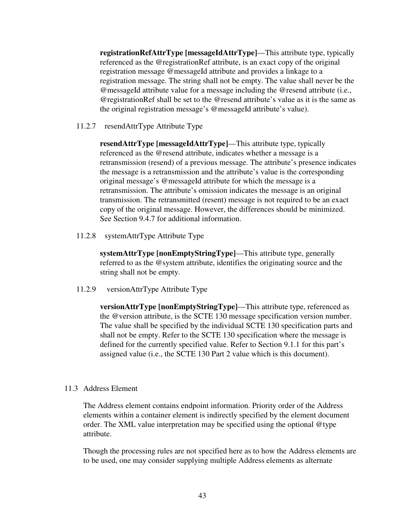**registrationRefAttrType [messageIdAttrType]**—This attribute type, typically referenced as the @registrationRef attribute, is an exact copy of the original registration message @messageId attribute and provides a linkage to a registration message. The string shall not be empty. The value shall never be the @messageId attribute value for a message including the @resend attribute (i.e., @registrationRef shall be set to the @resend attribute's value as it is the same as the original registration message's @messageId attribute's value).

11.2.7 resendAttrType Attribute Type

**resendAttrType [messageIdAttrType]**—This attribute type, typically referenced as the @resend attribute, indicates whether a message is a retransmission (resend) of a previous message. The attribute's presence indicates the message is a retransmission and the attribute's value is the corresponding original message's @messageId attribute for which the message is a retransmission. The attribute's omission indicates the message is an original transmission. The retransmitted (resent) message is not required to be an exact copy of the original message. However, the differences should be minimized. See Section 9.4.7 for additional information.

11.2.8 systemAttrType Attribute Type

**systemAttrType [nonEmptyStringType]**—This attribute type, generally referred to as the @system attribute, identifies the originating source and the string shall not be empty.

11.2.9 versionAttrType Attribute Type

**versionAttrType [nonEmptyStringType]**—This attribute type, referenced as the @version attribute, is the SCTE 130 message specification version number. The value shall be specified by the individual SCTE 130 specification parts and shall not be empty. Refer to the SCTE 130 specification where the message is defined for the currently specified value. Refer to Section 9.1.1 for this part's assigned value (i.e., the SCTE 130 Part 2 value which is this document).

#### 11.3 Address Element

The Address element contains endpoint information. Priority order of the Address elements within a container element is indirectly specified by the element document order. The XML value interpretation may be specified using the optional @type attribute.

Though the processing rules are not specified here as to how the Address elements are to be used, one may consider supplying multiple Address elements as alternate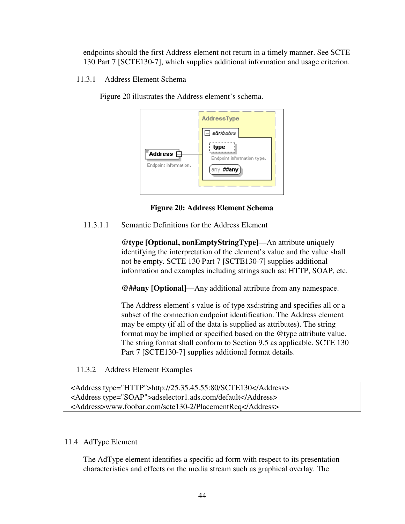endpoints should the first Address element not return in a timely manner. See SCTE 130 Part 7 [SCTE130-7], which supplies additional information and usage criterion.

11.3.1 Address Element Schema

Figure 20 illustrates the Address element's schema.



**Figure 20: Address Element Schema** 

11.3.1.1 Semantic Definitions for the Address Element

**@type [Optional, nonEmptyStringType]**—An attribute uniquely identifying the interpretation of the element's value and the value shall not be empty. SCTE 130 Part 7 [SCTE130-7] supplies additional information and examples including strings such as: HTTP, SOAP, etc.

**@##any [Optional]**—Any additional attribute from any namespace.

The Address element's value is of type xsd:string and specifies all or a subset of the connection endpoint identification. The Address element may be empty (if all of the data is supplied as attributes). The string format may be implied or specified based on the @type attribute value. The string format shall conform to Section 9.5 as applicable. SCTE 130 Part 7 [SCTE130-7] supplies additional format details.

11.3.2 Address Element Examples

 <Address type="HTTP">http://25.35.45.55:80/SCTE130</Address> <Address type="SOAP">adselector1.ads.com/default</Address> <Address>www.foobar.com/scte130-2/PlacementReq</Address>

# 11.4 AdType Element

The AdType element identifies a specific ad form with respect to its presentation characteristics and effects on the media stream such as graphical overlay. The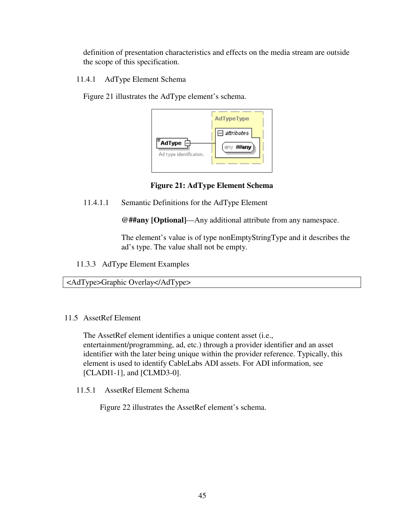definition of presentation characteristics and effects on the media stream are outside the scope of this specification.

11.4.1 AdType Element Schema

Figure 21 illustrates the AdType element's schema.



**Figure 21: AdType Element Schema** 

11.4.1.1 Semantic Definitions for the AdType Element

**@##any [Optional]**—Any additional attribute from any namespace.

The element's value is of type nonEmptyStringType and it describes the ad's type. The value shall not be empty.

11.3.3 AdType Element Examples

<AdType>Graphic Overlay</AdType>

11.5 AssetRef Element

The AssetRef element identifies a unique content asset (i.e., entertainment/programming, ad, etc.) through a provider identifier and an asset identifier with the later being unique within the provider reference. Typically, this element is used to identify CableLabs ADI assets. For ADI information, see [CLADI1-1], and [CLMD3-0].

11.5.1 AssetRef Element Schema

Figure 22 illustrates the AssetRef element's schema.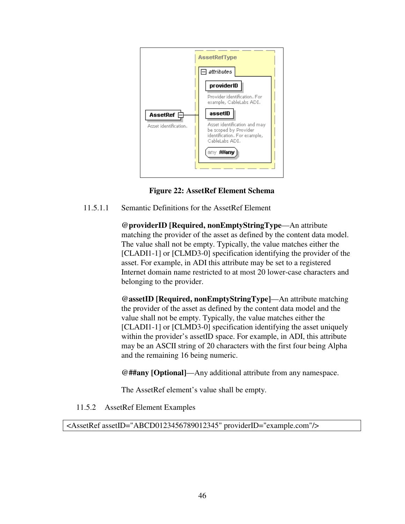

**Figure 22: AssetRef Element Schema** 

11.5.1.1 Semantic Definitions for the AssetRef Element

**@providerID [Required, nonEmptyStringType**—An attribute matching the provider of the asset as defined by the content data model. The value shall not be empty. Typically, the value matches either the [CLADI1-1] or [CLMD3-0] specification identifying the provider of the asset. For example, in ADI this attribute may be set to a registered Internet domain name restricted to at most 20 lower-case characters and belonging to the provider.

**@assetID [Required, nonEmptyStringType]**—An attribute matching the provider of the asset as defined by the content data model and the value shall not be empty. Typically, the value matches either the [CLADI1-1] or [CLMD3-0] specification identifying the asset uniquely within the provider's asset ID space. For example, in ADI, this attribute may be an ASCII string of 20 characters with the first four being Alpha and the remaining 16 being numeric.

**@##any [Optional]**—Any additional attribute from any namespace.

The AssetRef element's value shall be empty.

11.5.2 AssetRef Element Examples

<AssetRef assetID="ABCD0123456789012345" providerID="example.com"/>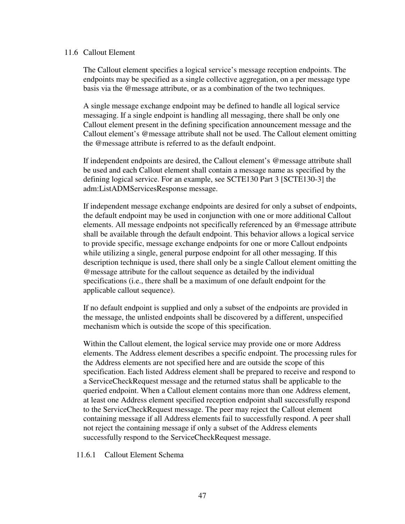#### 11.6 Callout Element

The Callout element specifies a logical service's message reception endpoints. The endpoints may be specified as a single collective aggregation, on a per message type basis via the @message attribute, or as a combination of the two techniques.

A single message exchange endpoint may be defined to handle all logical service messaging. If a single endpoint is handling all messaging, there shall be only one Callout element present in the defining specification announcement message and the Callout element's @message attribute shall not be used. The Callout element omitting the @message attribute is referred to as the default endpoint.

If independent endpoints are desired, the Callout element's @message attribute shall be used and each Callout element shall contain a message name as specified by the defining logical service. For an example, see SCTE130 Part 3 [SCTE130-3] the adm:ListADMServicesResponse message.

If independent message exchange endpoints are desired for only a subset of endpoints, the default endpoint may be used in conjunction with one or more additional Callout elements. All message endpoints not specifically referenced by an @message attribute shall be available through the default endpoint. This behavior allows a logical service to provide specific, message exchange endpoints for one or more Callout endpoints while utilizing a single, general purpose endpoint for all other messaging. If this description technique is used, there shall only be a single Callout element omitting the @message attribute for the callout sequence as detailed by the individual specifications (i.e., there shall be a maximum of one default endpoint for the applicable callout sequence).

If no default endpoint is supplied and only a subset of the endpoints are provided in the message, the unlisted endpoints shall be discovered by a different, unspecified mechanism which is outside the scope of this specification.

Within the Callout element, the logical service may provide one or more Address elements. The Address element describes a specific endpoint. The processing rules for the Address elements are not specified here and are outside the scope of this specification. Each listed Address element shall be prepared to receive and respond to a ServiceCheckRequest message and the returned status shall be applicable to the queried endpoint. When a Callout element contains more than one Address element, at least one Address element specified reception endpoint shall successfully respond to the ServiceCheckRequest message. The peer may reject the Callout element containing message if all Address elements fail to successfully respond. A peer shall not reject the containing message if only a subset of the Address elements successfully respond to the ServiceCheckRequest message.

11.6.1 Callout Element Schema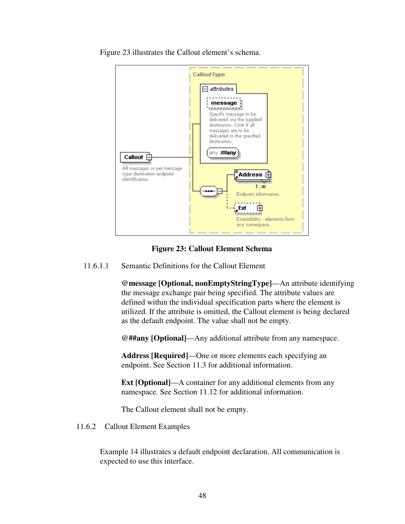

Figure 23 illustrates the Callout element's schema.

### **Figure 23: Callout Element Schema**

11.6.1.1 Semantic Definitions for the Callout Element

**@message [Optional, nonEmptyStringType]**—An attribute identifying the message exchange pair being specified. The attribute values are defined within the individual specification parts where the element is utilized. If the attribute is omitted, the Callout element is being declared as the default endpoint. The value shall not be empty.

**@##any [Optional]**—Any additional attribute from any namespace.

**Address [Required]**—One or more elements each specifying an endpoint. See Section 11.3 for additional information.

**Ext [Optional]**—A container for any additional elements from any namespace. See Section 11.12 for additional information.

The Callout element shall not be empty.

11.6.2 Callout Element Examples

Example 14 illustrates a default endpoint declaration. All communication is expected to use this interface.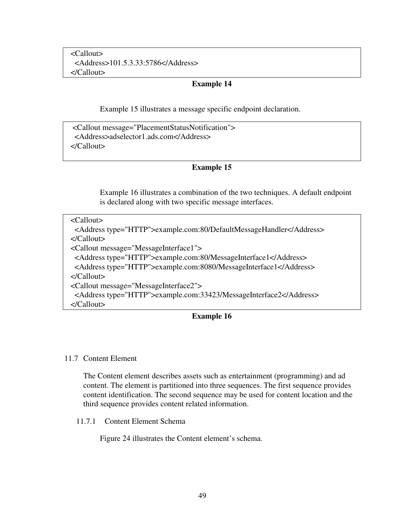<Callout> <Address>101.5.3.33:5786</Address> </Callout>

### **Example 14**

Example 15 illustrates a message specific endpoint declaration.

 <Callout message="PlacementStatusNotification"> <Address>adselector1.ads.com</Address> </Callout>

## **Example 15**

Example 16 illustrates a combination of the two techniques. A default endpoint is declared along with two specific message interfaces.

 <Callout> <Address type="HTTP">example.com:80/DefaultMessageHandler</Address> </Callout> <Callout message="MessageInterface1"> <Address type="HTTP">example.com:80/MessageInterface1</Address> <Address type="HTTP">example.com:8080/MessageInterface1</Address> </Callout> <Callout message="MessageInterface2"> <Address type="HTTP">example.com:33423/MessageInterface2</Address> </Callout> **Example 16** 

#### 11.7 Content Element

The Content element describes assets such as entertainment (programming) and ad content. The element is partitioned into three sequences. The first sequence provides content identification. The second sequence may be used for content location and the third sequence provides content related information.

11.7.1 Content Element Schema

Figure 24 illustrates the Content element's schema.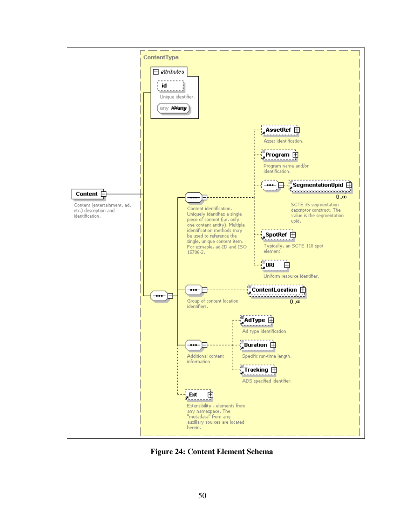

**Figure 24: Content Element Schema**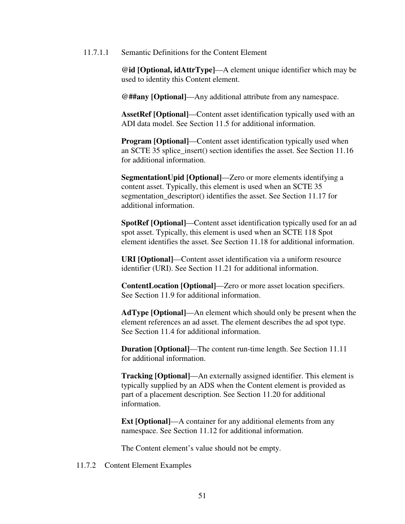11.7.1.1 Semantic Definitions for the Content Element

**@id [Optional, idAttrType]**—A element unique identifier which may be used to identity this Content element.

**@##any [Optional]**—Any additional attribute from any namespace.

**AssetRef [Optional]**—Content asset identification typically used with an ADI data model. See Section 11.5 for additional information.

**Program [Optional]**—Content asset identification typically used when an SCTE 35 splice insert() section identifies the asset. See Section 11.16 for additional information.

**SegmentationUpid [Optional]**—Zero or more elements identifying a content asset. Typically, this element is used when an SCTE 35 segmentation\_descriptor() identifies the asset. See Section 11.17 for additional information.

**SpotRef [Optional]**—Content asset identification typically used for an ad spot asset. Typically, this element is used when an SCTE 118 Spot element identifies the asset. See Section 11.18 for additional information.

**URI [Optional]**—Content asset identification via a uniform resource identifier (URI). See Section 11.21 for additional information.

**ContentLocation [Optional]**—Zero or more asset location specifiers. See Section 11.9 for additional information.

**AdType [Optional]**—An element which should only be present when the element references an ad asset. The element describes the ad spot type. See Section 11.4 for additional information.

**Duration [Optional]**—The content run-time length. See Section 11.11 for additional information.

**Tracking [Optional]**—An externally assigned identifier. This element is typically supplied by an ADS when the Content element is provided as part of a placement description. See Section 11.20 for additional information.

**Ext [Optional]—A** container for any additional elements from any namespace. See Section 11.12 for additional information.

The Content element's value should not be empty.

11.7.2 Content Element Examples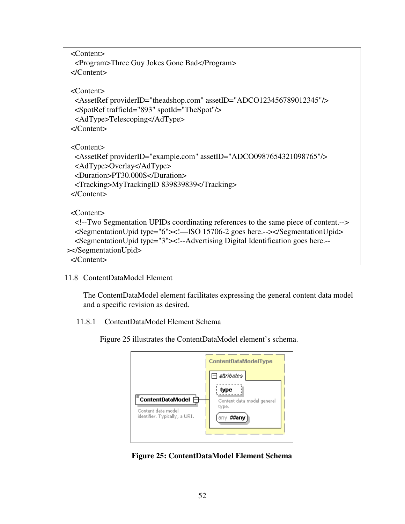| $<$ Content $>$                                                                                                                                                                                                                                                                                                                            |
|--------------------------------------------------------------------------------------------------------------------------------------------------------------------------------------------------------------------------------------------------------------------------------------------------------------------------------------------|
| <program>Three Guy Jokes Gone Bad</program>                                                                                                                                                                                                                                                                                                |
| $\langle$ /Content>                                                                                                                                                                                                                                                                                                                        |
| $\langle$ Content $\rangle$<br><assetref assetid="ADCO123456789012345" providerid="theadshop.com"></assetref><br><spotref spotid="TheSpot" trafficid="893"></spotref><br><adtype>Telescoping</adtype><br>$\langle$ /Content>                                                                                                               |
| $\langle$ Content $\rangle$<br><assetref assetid="ADCO0987654321098765" providerid="example.com"></assetref><br><adtype>Overlay</adtype><br><duration>PT30.000S</duration><br><tracking>MyTrackingID 839839839</tracking><br>$\langle$ /Content>                                                                                           |
| $\langle$ Content $\rangle$<br>Two Segmentation UPIDs coordinating references to the same piece of content.<br><segmentationupid type="6"><!--—ISO 15706-2 goes here.----></segmentationupid><br><segmentationupid type="3">&lt;!--Advertising Digital Identification goes here.--&lt;br&gt;&gt;</segmentationupid><br>$\langle$ /Content> |

11.8 ContentDataModel Element

The ContentDataModel element facilitates expressing the general content data model and a specific revision as desired.

11.8.1 ContentDataModel Element Schema

Figure 25 illustrates the ContentDataModel element's schema.



**Figure 25: ContentDataModel Element Schema**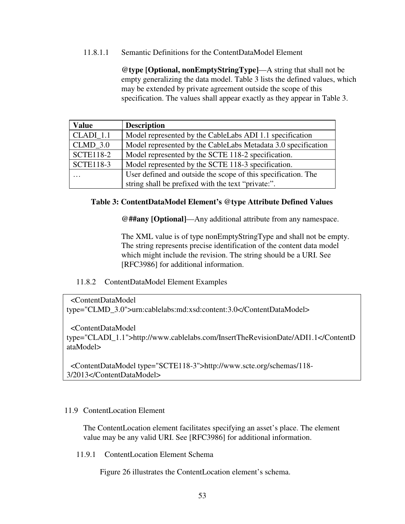### 11.8.1.1 Semantic Definitions for the ContentDataModel Element

**@type [Optional, nonEmptyStringType]**—A string that shall not be empty generalizing the data model. Table 3 lists the defined values, which may be extended by private agreement outside the scope of this specification. The values shall appear exactly as they appear in Table 3.

| <b>Value</b>     | <b>Description</b>                                            |
|------------------|---------------------------------------------------------------|
| CLADI 1.1        | Model represented by the CableLabs ADI 1.1 specification      |
| $CLMD$ 3.0       | Model represented by the CableLabs Metadata 3.0 specification |
| <b>SCTE118-2</b> | Model represented by the SCTE 118-2 specification.            |
| <b>SCTE118-3</b> | Model represented by the SCTE 118-3 specification.            |
| .                | User defined and outside the scope of this specification. The |
|                  | string shall be prefixed with the text "private:".            |

### **Table 3: ContentDataModel Element's @type Attribute Defined Values**

**@##any [Optional]**—Any additional attribute from any namespace.

The XML value is of type nonEmptyStringType and shall not be empty. The string represents precise identification of the content data model which might include the revision. The string should be a URI. See [RFC3986] for additional information.

## 11.8.2 ContentDataModel Element Examples

<ContentDataModel

type="CLMD\_3.0">urn:cablelabs:md:xsd:content:3.0</ContentDataModel>

<ContentDataModel

type="CLADI\_1.1">http://www.cablelabs.com/InsertTheRevisionDate/ADI1.1</ContentD ataModel>

 <ContentDataModel type="SCTE118-3">http://www.scte.org/schemas/118- 3/2013</ContentDataModel>

#### 11.9 ContentLocation Element

The ContentLocation element facilitates specifying an asset's place. The element value may be any valid URI. See [RFC3986] for additional information.

11.9.1 ContentLocation Element Schema

Figure 26 illustrates the ContentLocation element's schema.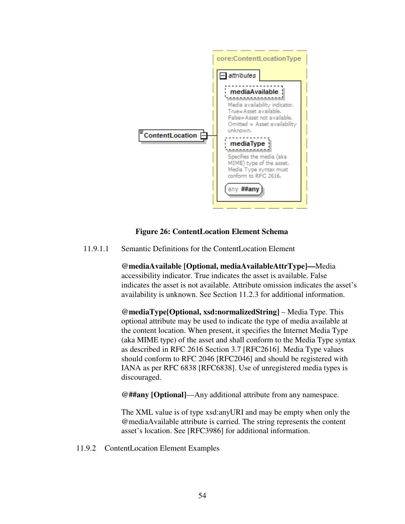

## **Figure 26: ContentLocation Element Schema**

11.9.1.1 Semantic Definitions for the ContentLocation Element

**@mediaAvailable [Optional, mediaAvailableAttrType]—**Media accessibility indicator. True indicates the asset is available. False indicates the asset is not available. Attribute omission indicates the asset's availability is unknown. See Section 11.2.3 for additional information.

**@mediaType[Optional, xsd:normalizedString]** – Media Type. This optional attribute may be used to indicate the type of media available at the content location. When present, it specifies the Internet Media Type (aka MIME type) of the asset and shall conform to the Media Type syntax as described in RFC 2616 Section 3.7 [RFC2616]. Media Type values should conform to RFC 2046 [RFC2046] and should be registered with IANA as per RFC 6838 [RFC6838]. Use of unregistered media types is discouraged.

**@##any [Optional]**—Any additional attribute from any namespace.

The XML value is of type xsd:anyURI and may be empty when only the @mediaAvailable attribute is carried. The string represents the content asset's location. See [RFC3986] for additional information.

11.9.2 ContentLocation Element Examples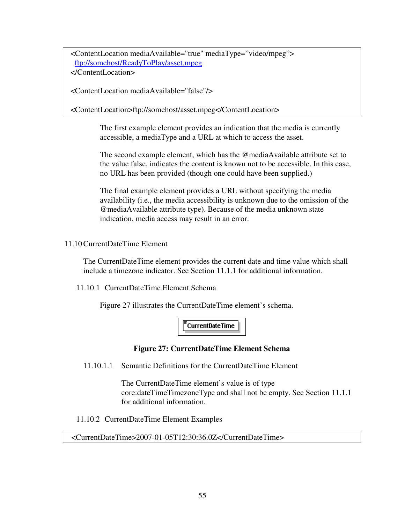<ContentLocation mediaAvailable="true" mediaType="video/mpeg"> ftp://somehost/ReadyToPlay/asset.mpeg </ContentLocation>

<ContentLocation mediaAvailable="false"/>

<ContentLocation>ftp://somehost/asset.mpeg</ContentLocation>

The first example element provides an indication that the media is currently accessible, a mediaType and a URL at which to access the asset.

The second example element, which has the @mediaAvailable attribute set to the value false, indicates the content is known not to be accessible. In this case, no URL has been provided (though one could have been supplied.)

The final example element provides a URL without specifying the media availability (i.e., the media accessibility is unknown due to the omission of the @mediaAvailable attribute type). Because of the media unknown state indication, media access may result in an error.

11.10CurrentDateTime Element

The CurrentDateTime element provides the current date and time value which shall include a timezone indicator. See Section 11.1.1 for additional information.

11.10.1 CurrentDateTime Element Schema

Figure 27 illustrates the CurrentDateTime element's schema.

**CurrentDateTime** 

## **Figure 27: CurrentDateTime Element Schema**

11.10.1.1 Semantic Definitions for the CurrentDateTime Element

The CurrentDateTime element's value is of type core:dateTimeTimezoneType and shall not be empty. See Section 11.1.1 for additional information.

11.10.2 CurrentDateTime Element Examples

#### <CurrentDateTime>2007-01-05T12:30:36.0Z</CurrentDateTime>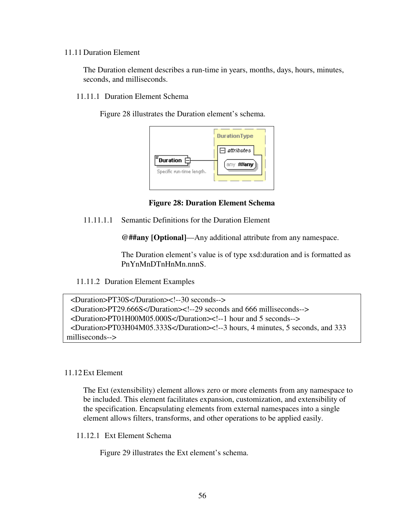#### 11.11 Duration Element

The Duration element describes a run-time in years, months, days, hours, minutes, seconds, and milliseconds.

11.11.1 Duration Element Schema

Figure 28 illustrates the Duration element's schema.



**Figure 28: Duration Element Schema** 

11.11.1.1 Semantic Definitions for the Duration Element

**@##any [Optional]**—Any additional attribute from any namespace.

The Duration element's value is of type xsd:duration and is formatted as PnYnMnDTnHnMn.nnnS.

11.11.2 Duration Element Examples

```
 <Duration>PT30S</Duration><!--30 seconds--> 
  <Duration>PT29.666S</Duration><!--29 seconds and 666 milliseconds--> 
  <Duration>PT01H00M05.000S</Duration><!--1 hour and 5 seconds--> 
  <Duration>PT03H04M05.333S</Duration><!--3 hours, 4 minutes, 5 seconds, and 333 
milliseconds-->
```
#### 11.12Ext Element

The Ext (extensibility) element allows zero or more elements from any namespace to be included. This element facilitates expansion, customization, and extensibility of the specification. Encapsulating elements from external namespaces into a single element allows filters, transforms, and other operations to be applied easily.

11.12.1 Ext Element Schema

Figure 29 illustrates the Ext element's schema.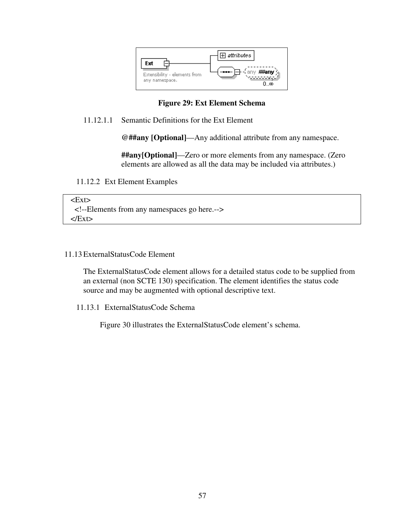

## **Figure 29: Ext Element Schema**

## 11.12.1.1 Semantic Definitions for the Ext Element

**@##any [Optional]**—Any additional attribute from any namespace.

**##any[Optional]**—Zero or more elements from any namespace. (Zero elements are allowed as all the data may be included via attributes.)

### 11.12.2 Ext Element Examples

 $<$ Ext $>$  <!--Elements from any namespaces go here.-->  $<$ /Ext $>$ 

### 11.13ExternalStatusCode Element

The ExternalStatusCode element allows for a detailed status code to be supplied from an external (non SCTE 130) specification. The element identifies the status code source and may be augmented with optional descriptive text.

11.13.1 ExternalStatusCode Schema

Figure 30 illustrates the ExternalStatusCode element's schema.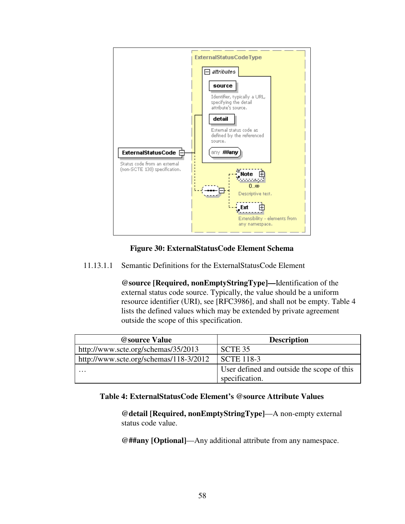

**Figure 30: ExternalStatusCode Element Schema** 

11.13.1.1 Semantic Definitions for the ExternalStatusCode Element

**@source [Required, nonEmptyStringType]—**Identification of the external status code source. Typically, the value should be a uniform resource identifier (URI), see [RFC3986], and shall not be empty. Table 4 lists the defined values which may be extended by private agreement outside the scope of this specification.

| <b>@source Value</b>                   | <b>Description</b>                         |
|----------------------------------------|--------------------------------------------|
| http://www.scte.org/schemas/35/2013    | SCTE 35                                    |
| http://www.scte.org/schemas/118-3/2012 | <b>SCTE 118-3</b>                          |
| $\cdot\cdot\cdot$                      | User defined and outside the scope of this |
|                                        | specification.                             |

# **Table 4: ExternalStatusCode Element's @source Attribute Values**

**@detail [Required, nonEmptyStringType]**—A non-empty external status code value.

**@##any [Optional]**—Any additional attribute from any namespace.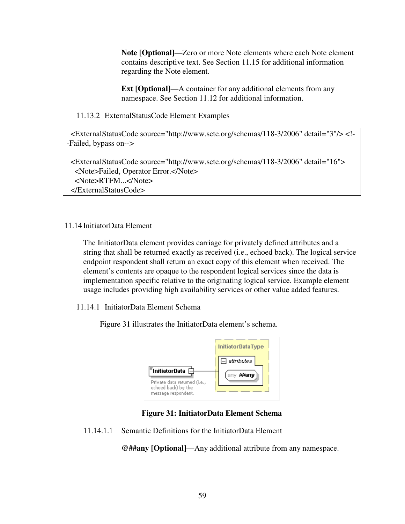**Note [Optional]**—Zero or more Note elements where each Note element contains descriptive text. See Section 11.15 for additional information regarding the Note element.

**Ext [Optional]—A** container for any additional elements from any namespace. See Section 11.12 for additional information.

11.13.2 ExternalStatusCode Element Examples

 <ExternalStatusCode source="http://www.scte.org/schemas/118-3/2006" detail="3"/> <!- -Failed, bypass on-->

 <ExternalStatusCode source="http://www.scte.org/schemas/118-3/2006" detail="16"> <Note>Failed, Operator Error.</Note> <Note>RTFM...</Note> </ExternalStatusCode>

11.14 InitiatorData Element

The InitiatorData element provides carriage for privately defined attributes and a string that shall be returned exactly as received (i.e., echoed back). The logical service endpoint respondent shall return an exact copy of this element when received. The element's contents are opaque to the respondent logical services since the data is implementation specific relative to the originating logical service. Example element usage includes providing high availability services or other value added features.

11.14.1 InitiatorData Element Schema

Figure 31 illustrates the InitiatorData element's schema.



**Figure 31: InitiatorData Element Schema** 

11.14.1.1 Semantic Definitions for the InitiatorData Element

**@##any [Optional]**—Any additional attribute from any namespace.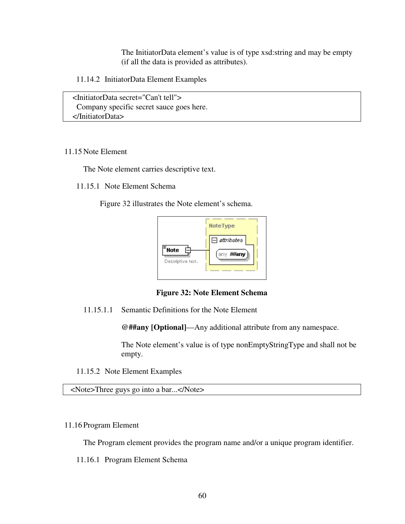The InitiatorData element's value is of type xsd:string and may be empty (if all the data is provided as attributes).

11.14.2 InitiatorData Element Examples

 <InitiatorData secret="Can't tell"> Company specific secret sauce goes here. </InitiatorData>

#### 11.15 Note Element

The Note element carries descriptive text.

11.15.1 Note Element Schema

Figure 32 illustrates the Note element's schema.



**Figure 32: Note Element Schema** 

11.15.1.1 Semantic Definitions for the Note Element

**@##any [Optional]**—Any additional attribute from any namespace.

The Note element's value is of type nonEmptyStringType and shall not be empty.

11.15.2 Note Element Examples

<Note>Three guys go into a bar...</Note>

#### 11.16 Program Element

The Program element provides the program name and/or a unique program identifier.

11.16.1 Program Element Schema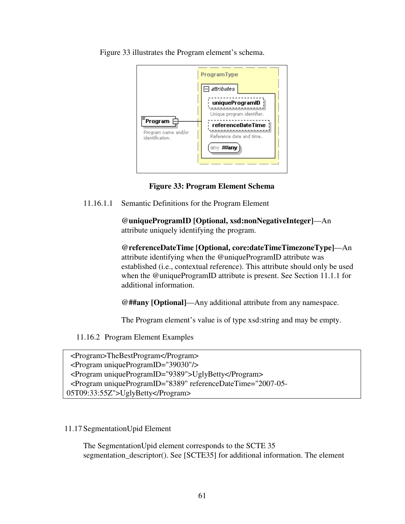Figure 33 illustrates the Program element's schema.

|                                                     | <b>ProgramType</b>                                                                                          |
|-----------------------------------------------------|-------------------------------------------------------------------------------------------------------------|
|                                                     | attributes                                                                                                  |
| Program [<br>Program name and/or<br>identification. | uniqueProgramID<br>Unique program identifier.<br>referenceDateTime<br>Reference date and time.<br>any ##any |

**Figure 33: Program Element Schema** 

11.16.1.1 Semantic Definitions for the Program Element

**@uniqueProgramID [Optional, xsd:nonNegativeInteger]**—An attribute uniquely identifying the program.

**@referenceDateTime [Optional, core:dateTimeTimezoneType]**—An attribute identifying when the @uniqueProgramID attribute was established (i.e., contextual reference). This attribute should only be used when the @uniqueProgramID attribute is present. See Section 11.1.1 for additional information.

**@##any [Optional]**—Any additional attribute from any namespace.

The Program element's value is of type xsd:string and may be empty.

11.16.2 Program Element Examples

```
 <Program>TheBestProgram</Program> 
 <Program uniqueProgramID="39030"/> 
 <Program uniqueProgramID="9389">UglyBetty</Program> 
 <Program uniqueProgramID="8389" referenceDateTime="2007-05-
05T09:33:55Z">UglyBetty</Program>
```
## 11.17 SegmentationUpid Element

The SegmentationUpid element corresponds to the SCTE 35 segmentation\_descriptor(). See [SCTE35] for additional information. The element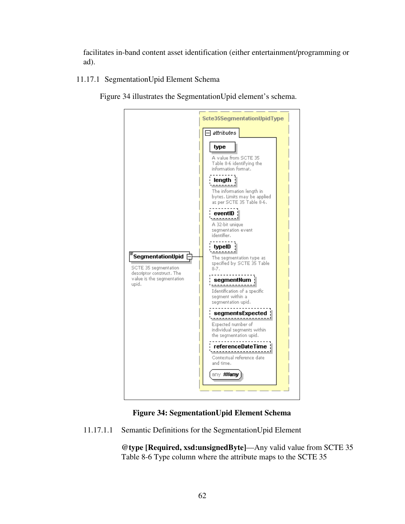facilitates in-band content asset identification (either entertainment/programming or ad).

11.17.1 SegmentationUpid Element Schema

Figure 34 illustrates the SegmentationUpid element's schema.



# **Figure 34: SegmentationUpid Element Schema**

11.17.1.1 Semantic Definitions for the SegmentationUpid Element

**@type [Required, xsd:unsignedByte]**—Any valid value from SCTE 35 Table 8-6 Type column where the attribute maps to the SCTE 35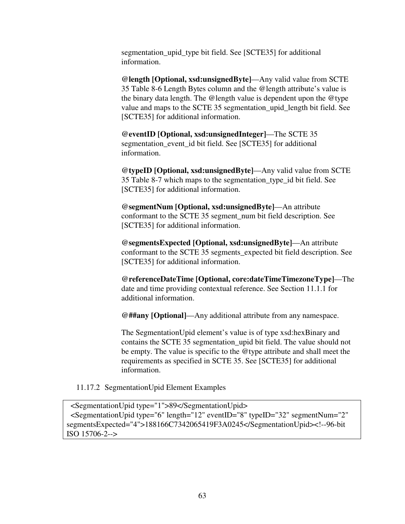segmentation\_upid\_type bit field. See [SCTE35] for additional information.

**@length [Optional, xsd:unsignedByte]**—Any valid value from SCTE 35 Table 8-6 Length Bytes column and the @length attribute's value is the binary data length. The @length value is dependent upon the @type value and maps to the SCTE 35 segmentation upid length bit field. See [SCTE35] for additional information.

**@eventID [Optional, xsd:unsignedInteger]**—The SCTE 35 segmentation\_event\_id bit field. See [SCTE35] for additional information.

**@typeID [Optional, xsd:unsignedByte]**—Any valid value from SCTE 35 Table 8-7 which maps to the segmentation\_type\_id bit field. See [SCTE35] for additional information.

**@segmentNum [Optional, xsd:unsignedByte]**—An attribute conformant to the SCTE 35 segment\_num bit field description. See [SCTE35] for additional information.

**@segmentsExpected [Optional, xsd:unsignedByte]**—An attribute conformant to the SCTE 35 segments\_expected bit field description. See [SCTE35] for additional information.

**@referenceDateTime [Optional, core:dateTimeTimezoneType]**—The date and time providing contextual reference. See Section 11.1.1 for additional information.

**@##any [Optional]**—Any additional attribute from any namespace.

The SegmentationUpid element's value is of type xsd:hexBinary and contains the SCTE 35 segmentation\_upid bit field. The value should not be empty. The value is specific to the @type attribute and shall meet the requirements as specified in SCTE 35. See [SCTE35] for additional information.

11.17.2 SegmentationUpid Element Examples

 <SegmentationUpid type="1">89</SegmentationUpid> <SegmentationUpid type="6" length="12" eventID="8" typeID="32" segmentNum="2" segmentsExpected="4">188166C7342065419F3A0245</SegmentationUpid><!--96-bit ISO 15706-2-->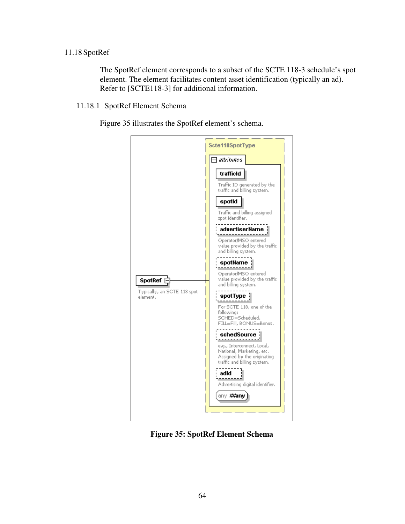## 11.18 SpotRef

The SpotRef element corresponds to a subset of the SCTE 118-3 schedule's spot element. The element facilitates content asset identification (typically an ad). Refer to [SCTE118-3] for additional information.

11.18.1 SpotRef Element Schema

Figure 35 illustrates the SpotRef element's schema.



**Figure 35: SpotRef Element Schema**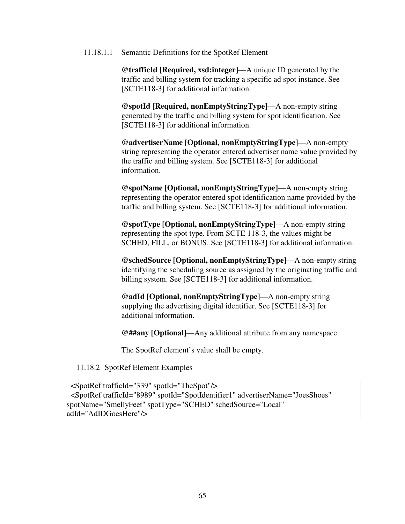11.18.1.1 Semantic Definitions for the SpotRef Element

**@trafficId [Required, xsd:integer]**—A unique ID generated by the traffic and billing system for tracking a specific ad spot instance. See [SCTE118-3] for additional information.

**@spotId [Required, nonEmptyStringType]**—A non-empty string generated by the traffic and billing system for spot identification. See [SCTE118-3] for additional information.

**@advertiserName [Optional, nonEmptyStringType]**—A non-empty string representing the operator entered advertiser name value provided by the traffic and billing system. See [SCTE118-3] for additional information.

**@spotName [Optional, nonEmptyStringType]**—A non-empty string representing the operator entered spot identification name provided by the traffic and billing system. See [SCTE118-3] for additional information.

**@spotType [Optional, nonEmptyStringType]**—A non-empty string representing the spot type. From SCTE 118-3, the values might be SCHED, FILL, or BONUS. See [SCTE118-3] for additional information.

**@schedSource [Optional, nonEmptyStringType]**—A non-empty string identifying the scheduling source as assigned by the originating traffic and billing system. See [SCTE118-3] for additional information.

**@adId [Optional, nonEmptyStringType]**—A non-empty string supplying the advertising digital identifier. See [SCTE118-3] for additional information.

**@##any [Optional]**—Any additional attribute from any namespace.

The SpotRef element's value shall be empty.

11.18.2 SpotRef Element Examples

 <SpotRef trafficId="339" spotId="TheSpot"/> <SpotRef trafficId="8989" spotId="SpotIdentifier1" advertiserName="JoesShoes" spotName="SmellyFeet" spotType="SCHED" schedSource="Local" adId="AdIDGoesHere"/>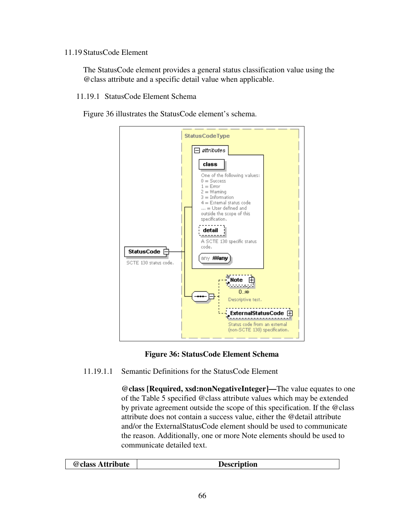#### 11.19 StatusCode Element

The StatusCode element provides a general status classification value using the @class attribute and a specific detail value when applicable.

11.19.1 StatusCode Element Schema

Figure 36 illustrates the StatusCode element's schema.





11.19.1.1 Semantic Definitions for the StatusCode Element

**@class [Required, xsd:nonNegativeInteger]—**The value equates to one of the Table 5 specified @class attribute values which may be extended by private agreement outside the scope of this specification. If the @class attribute does not contain a success value, either the @detail attribute and/or the ExternalStatusCode element should be used to communicate the reason. Additionally, one or more Note elements should be used to communicate detailed text.

| @class Attribute<br>Description |
|---------------------------------|
|---------------------------------|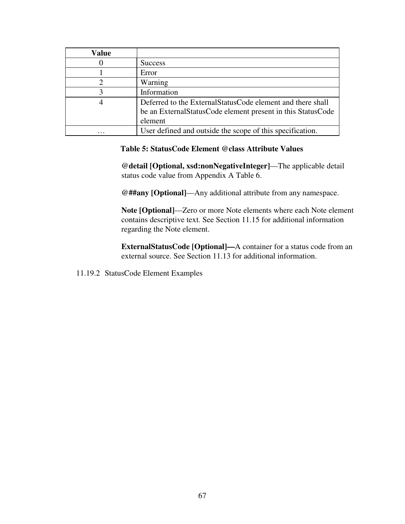| Value |                                                                |
|-------|----------------------------------------------------------------|
|       | <b>Success</b>                                                 |
|       | Error                                                          |
|       | Warning                                                        |
|       | Information                                                    |
|       | Deferred to the External Status Code element and there shall   |
|       | be an External Status Code element present in this Status Code |
|       | element                                                        |
| .     | User defined and outside the scope of this specification.      |

### **Table 5: StatusCode Element @class Attribute Values**

**@detail [Optional, xsd:nonNegativeInteger]**—The applicable detail status code value from Appendix A Table 6.

**@##any [Optional]**—Any additional attribute from any namespace.

**Note [Optional]**—Zero or more Note elements where each Note element contains descriptive text. See Section 11.15 for additional information regarding the Note element.

**ExternalStatusCode [Optional]—**A container for a status code from an external source. See Section 11.13 for additional information.

11.19.2 StatusCode Element Examples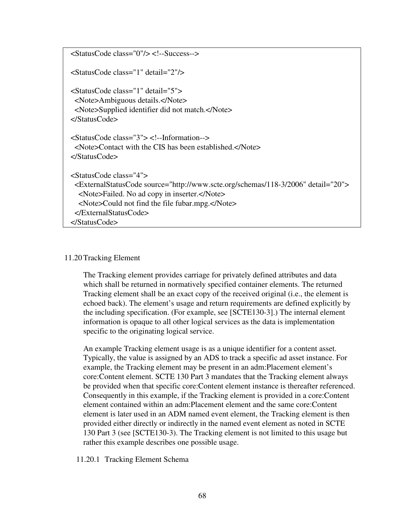| $\langle$ StatusCode class="0"/> $\langle$ !--Success-->                                                                                                                        |
|---------------------------------------------------------------------------------------------------------------------------------------------------------------------------------|
| <statuscode class="1" detail="2"></statuscode>                                                                                                                                  |
| <statuscode class="1" detail="5"><br/><note>Ambiguous details.</note><br/><note>Supplied identifier did not match.</note><br/><math>\triangle</math>StatusCode&gt;</statuscode> |
| $\leq$ StatusCode class="3"> $\leq$ !--Information--><br>$\langle$ Note>Contact with the CIS has been established. $\langle$ Note><br>$\langle$ StatusCode>                     |
| $\leq$ StatusCode class="4">                                                                                                                                                    |
| <externalstatuscode detail="20" source="http://www.scte.org/schemas/118-3/2006"><br/><note>Failed. No ad copy in inserter.</note></externalstatuscode>                          |
| <note>Could not find the file fubar.mpg.</note>                                                                                                                                 |
|                                                                                                                                                                                 |
| $\langle$ StatusCode>                                                                                                                                                           |

#### 11.20Tracking Element

The Tracking element provides carriage for privately defined attributes and data which shall be returned in normatively specified container elements. The returned Tracking element shall be an exact copy of the received original (i.e., the element is echoed back). The element's usage and return requirements are defined explicitly by the including specification. (For example, see [SCTE130-3].) The internal element information is opaque to all other logical services as the data is implementation specific to the originating logical service.

An example Tracking element usage is as a unique identifier for a content asset. Typically, the value is assigned by an ADS to track a specific ad asset instance. For example, the Tracking element may be present in an adm:Placement element's core:Content element. SCTE 130 Part 3 mandates that the Tracking element always be provided when that specific core:Content element instance is thereafter referenced. Consequently in this example, if the Tracking element is provided in a core:Content element contained within an adm:Placement element and the same core:Content element is later used in an ADM named event element, the Tracking element is then provided either directly or indirectly in the named event element as noted in SCTE 130 Part 3 (see [SCTE130-3). The Tracking element is not limited to this usage but rather this example describes one possible usage.

11.20.1 Tracking Element Schema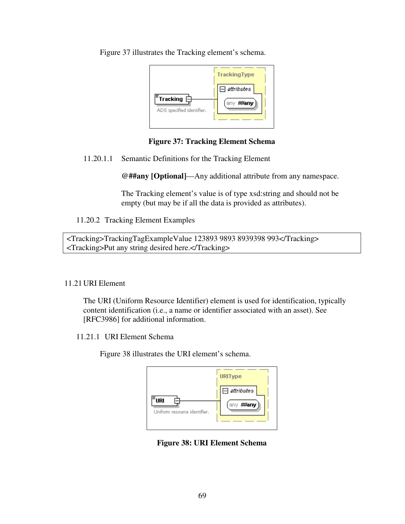Figure 37 illustrates the Tracking element's schema.

| $\Box$ attributes<br>$\bar{\bar{\phantom{\phi}}}$ Tracking $\boxdot$<br>any ##any<br>ADS specified identifier. |
|----------------------------------------------------------------------------------------------------------------|
|----------------------------------------------------------------------------------------------------------------|

## **Figure 37: Tracking Element Schema**

11.20.1.1 Semantic Definitions for the Tracking Element

**@##any [Optional]**—Any additional attribute from any namespace.

The Tracking element's value is of type xsd:string and should not be empty (but may be if all the data is provided as attributes).

11.20.2 Tracking Element Examples

<Tracking>TrackingTagExampleValue 123893 9893 8939398 993</Tracking> <Tracking>Put any string desired here.</Tracking>

## 11.21 URI Element

The URI (Uniform Resource Identifier) element is used for identification, typically content identification (i.e., a name or identifier associated with an asset). See [RFC3986] for additional information.

11.21.1 URI Element Schema

Figure 38 illustrates the URI element's schema.

| <b>URIType</b><br>$\boxminus$ attributes<br>URI<br>##any<br>any.<br>Uniform resource identifier. |
|--------------------------------------------------------------------------------------------------|
|--------------------------------------------------------------------------------------------------|

**Figure 38: URI Element Schema**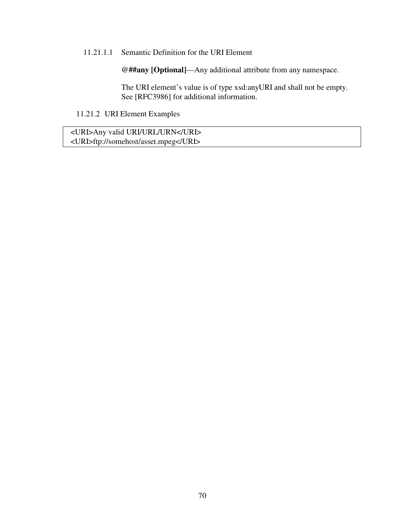### 11.21.1.1 Semantic Definition for the URI Element

**@##any [Optional]**—Any additional attribute from any namespace.

The URI element's value is of type xsd:anyURI and shall not be empty. See [RFC3986] for additional information.

11.21.2 URI Element Examples

 <URI>Any valid URI/URL/URN</URI> <URI>ftp://somehost/asset.mpeg</URI>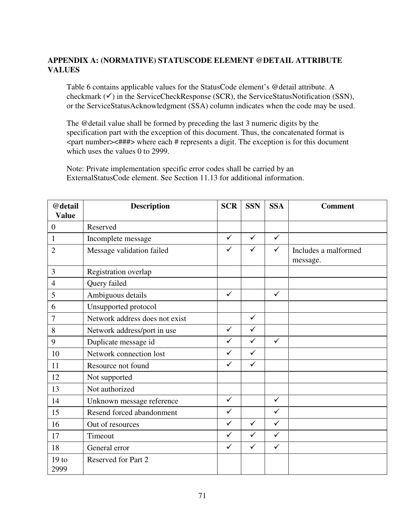# **APPENDIX A: (NORMATIVE) STATUSCODE ELEMENT @DETAIL ATTRIBUTE VALUES**

Table 6 contains applicable values for the StatusCode element's @detail attribute. A checkmark  $(\checkmark)$  in the ServiceCheckResponse (SCR), the ServiceStatusNotification (SSN), or the ServiceStatusAcknowledgment (SSA) column indicates when the code may be used.

The @detail value shall be formed by preceding the last 3 numeric digits by the specification part with the exception of this document. Thus, the concatenated format is <part number><###> where each # represents a digit. The exception is for this document which uses the values 0 to 2999.

Note: Private implementation specific error codes shall be carried by an ExternalStatusCode element. See Section 11.13 for additional information.

| @detail                  | <b>Description</b>             | <b>SCR</b>   | <b>SSN</b>   | <b>SSA</b>   | <b>Comment</b>                   |
|--------------------------|--------------------------------|--------------|--------------|--------------|----------------------------------|
| <b>Value</b>             |                                |              |              |              |                                  |
| $\overline{0}$           | Reserved                       |              |              |              |                                  |
| $\mathbf{1}$             | Incomplete message             | $\checkmark$ | $\checkmark$ | $\checkmark$ |                                  |
| $\overline{2}$           | Message validation failed      | $\checkmark$ | $\checkmark$ | $\checkmark$ | Includes a malformed<br>message. |
| 3                        | Registration overlap           |              |              |              |                                  |
| 4                        | Query failed                   |              |              |              |                                  |
| 5                        | Ambiguous details              | $\checkmark$ |              | $\checkmark$ |                                  |
| 6                        | Unsupported protocol           |              |              |              |                                  |
| 7                        | Network address does not exist |              | $\checkmark$ |              |                                  |
| 8                        | Network address/port in use    | $\checkmark$ | $\checkmark$ |              |                                  |
| 9                        | Duplicate message id           | $\checkmark$ | $\checkmark$ | $\checkmark$ |                                  |
| 10                       | Network connection lost        | $\checkmark$ | $\checkmark$ |              |                                  |
| 11                       | Resource not found             | $\checkmark$ | $\checkmark$ |              |                                  |
| 12                       | Not supported                  |              |              |              |                                  |
| 13                       | Not authorized                 |              |              |              |                                  |
| 14                       | Unknown message reference      | $\checkmark$ |              | $\checkmark$ |                                  |
| 15                       | Resend forced abandonment      | $\checkmark$ |              | $\checkmark$ |                                  |
| 16                       | Out of resources               | $\checkmark$ | $\checkmark$ | $\checkmark$ |                                  |
| 17                       | Timeout                        | $\checkmark$ | $\checkmark$ | $\checkmark$ |                                  |
| 18                       | General error                  | $\checkmark$ | $\checkmark$ | $\checkmark$ |                                  |
| 19 <sub>to</sub><br>2999 | Reserved for Part 2            |              |              |              |                                  |